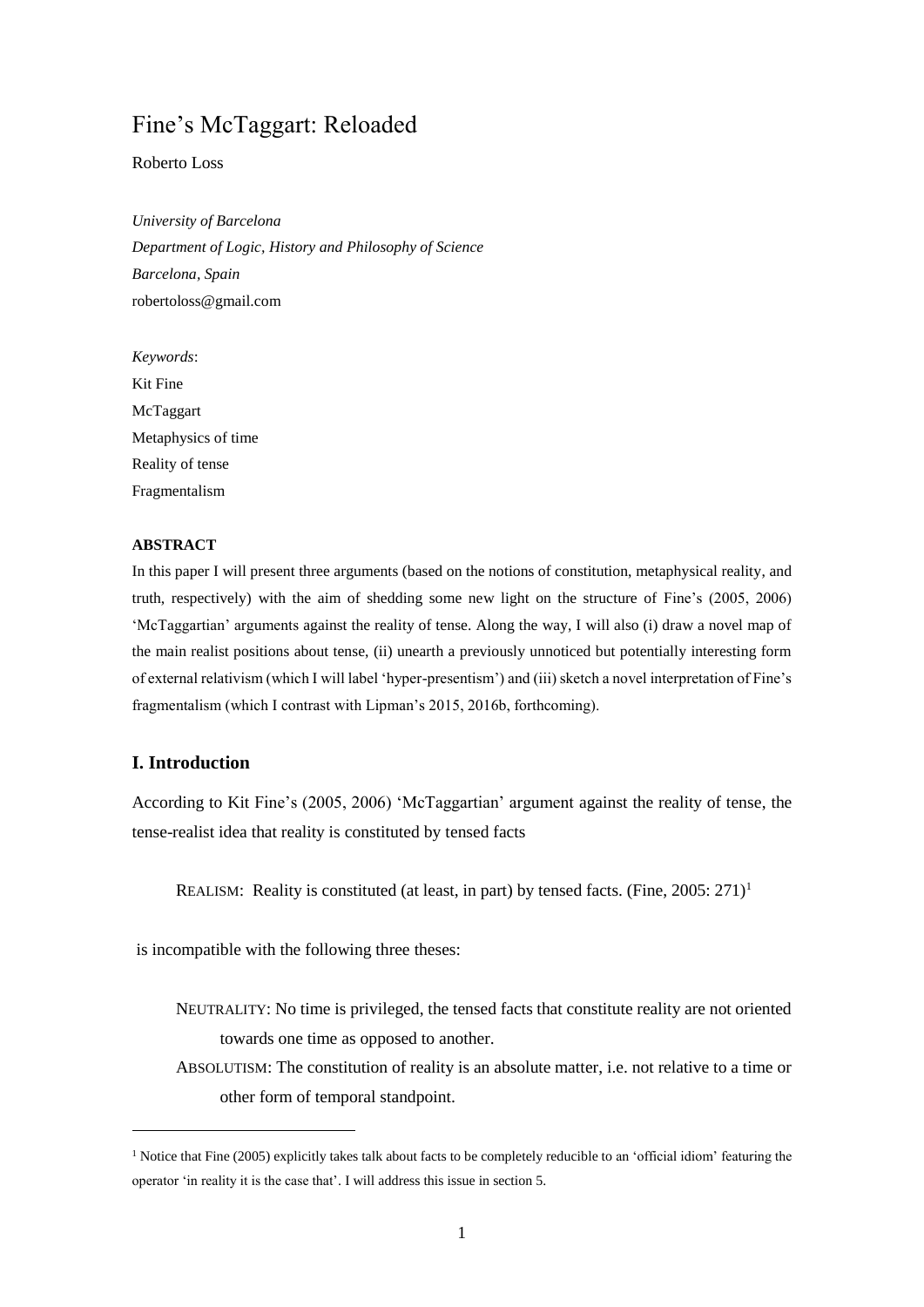# Fine's McTaggart: Reloaded

Roberto Loss

*University of Barcelona Department of Logic, History and Philosophy of Science Barcelona, Spain* robertoloss@gmail.com

*Keywords*: Kit Fine McTaggart Metaphysics of time Reality of tense Fragmentalism

## **ABSTRACT**

In this paper I will present three arguments (based on the notions of constitution, metaphysical reality, and truth, respectively) with the aim of shedding some new light on the structure of Fine's (2005, 2006) 'McTaggartian' arguments against the reality of tense. Along the way, I will also (i) draw a novel map of the main realist positions about tense, (ii) unearth a previously unnoticed but potentially interesting form of external relativism (which I will label 'hyper-presentism') and (iii) sketch a novel interpretation of Fine's fragmentalism (which I contrast with Lipman's 2015, 2016b, forthcoming).

# **I. Introduction**

1

According to Kit Fine's (2005, 2006) 'McTaggartian' argument against the reality of tense, the tense-realist idea that reality is constituted by tensed facts

REALISM: Reality is constituted (at least, in part) by tensed facts. (Fine,  $2005: 271$ )<sup>1</sup>

is incompatible with the following three theses:

- NEUTRALITY: No time is privileged, the tensed facts that constitute reality are not oriented towards one time as opposed to another.
- ABSOLUTISM: The constitution of reality is an absolute matter, i.e. not relative to a time or other form of temporal standpoint.

<sup>&</sup>lt;sup>1</sup> Notice that Fine (2005) explicitly takes talk about facts to be completely reducible to an 'official idiom' featuring the operator 'in reality it is the case that'. I will address this issue in section 5.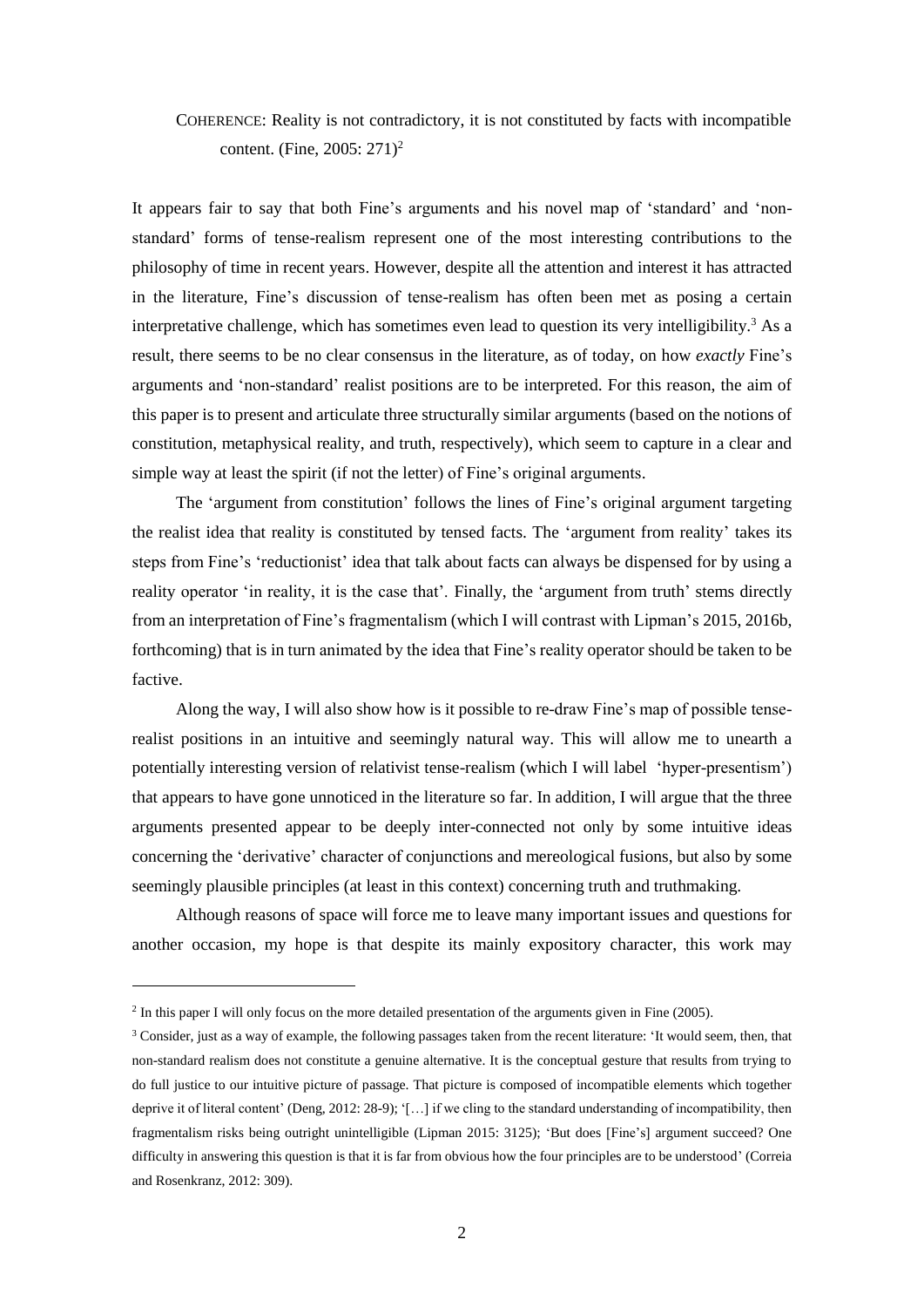# COHERENCE: Reality is not contradictory, it is not constituted by facts with incompatible content. (Fine, 2005: 271)<sup>2</sup>

It appears fair to say that both Fine's arguments and his novel map of 'standard' and 'nonstandard' forms of tense-realism represent one of the most interesting contributions to the philosophy of time in recent years. However, despite all the attention and interest it has attracted in the literature, Fine's discussion of tense-realism has often been met as posing a certain interpretative challenge, which has sometimes even lead to question its very intelligibility.<sup>3</sup> As a result, there seems to be no clear consensus in the literature, as of today, on how *exactly* Fine's arguments and 'non-standard' realist positions are to be interpreted. For this reason, the aim of this paper is to present and articulate three structurally similar arguments (based on the notions of constitution, metaphysical reality, and truth, respectively), which seem to capture in a clear and simple way at least the spirit (if not the letter) of Fine's original arguments.

The 'argument from constitution' follows the lines of Fine's original argument targeting the realist idea that reality is constituted by tensed facts. The 'argument from reality' takes its steps from Fine's 'reductionist' idea that talk about facts can always be dispensed for by using a reality operator 'in reality, it is the case that'. Finally, the 'argument from truth' stems directly from an interpretation of Fine's fragmentalism (which I will contrast with Lipman's 2015, 2016b, forthcoming) that is in turn animated by the idea that Fine's reality operator should be taken to be factive.

Along the way, I will also show how is it possible to re-draw Fine's map of possible tenserealist positions in an intuitive and seemingly natural way. This will allow me to unearth a potentially interesting version of relativist tense-realism (which I will label 'hyper-presentism') that appears to have gone unnoticed in the literature so far. In addition, I will argue that the three arguments presented appear to be deeply inter-connected not only by some intuitive ideas concerning the 'derivative' character of conjunctions and mereological fusions, but also by some seemingly plausible principles (at least in this context) concerning truth and truthmaking.

Although reasons of space will force me to leave many important issues and questions for another occasion, my hope is that despite its mainly expository character, this work may

 $2 \text{ In this paper I will only focus on the more detailed presentation of the arguments given in Fine (2005).}$ 

 $3$  Consider, just as a way of example, the following passages taken from the recent literature: 'It would seem, then, that non-standard realism does not constitute a genuine alternative. It is the conceptual gesture that results from trying to do full justice to our intuitive picture of passage. That picture is composed of incompatible elements which together deprive it of literal content' (Deng, 2012: 28-9); '[…] if we cling to the standard understanding of incompatibility, then fragmentalism risks being outright unintelligible (Lipman 2015: 3125); 'But does [Fine's] argument succeed? One difficulty in answering this question is that it is far from obvious how the four principles are to be understood' (Correia and Rosenkranz, 2012: 309).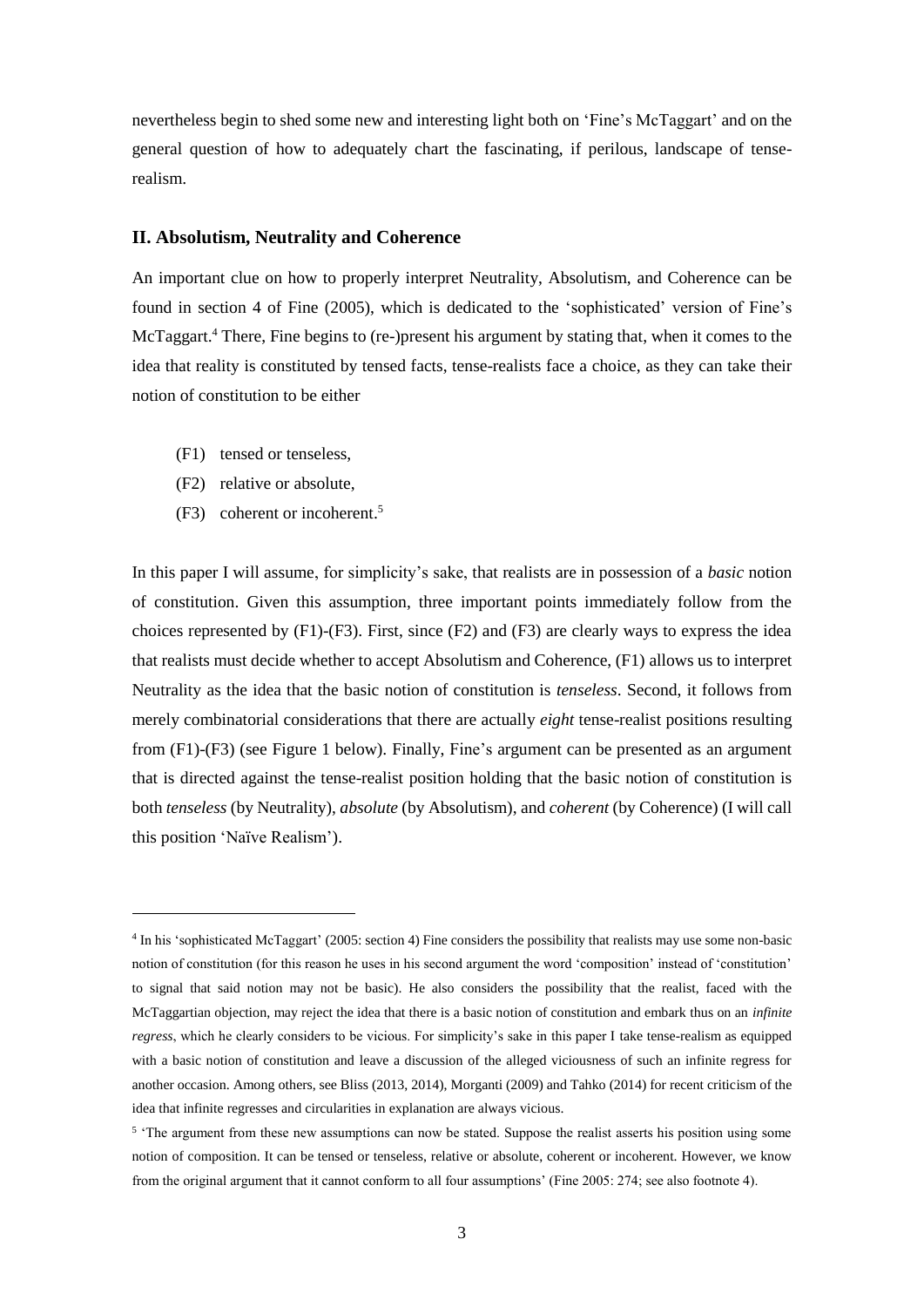nevertheless begin to shed some new and interesting light both on 'Fine's McTaggart' and on the general question of how to adequately chart the fascinating, if perilous, landscape of tenserealism.

## **II. Absolutism, Neutrality and Coherence**

An important clue on how to properly interpret Neutrality, Absolutism, and Coherence can be found in section 4 of Fine (2005), which is dedicated to the 'sophisticated' version of Fine's McTaggart. <sup>4</sup> There, Fine begins to (re-)present his argument by stating that, when it comes to the idea that reality is constituted by tensed facts, tense-realists face a choice, as they can take their notion of constitution to be either

- (F1) tensed or tenseless,
- (F2) relative or absolute,

-

(F3) coherent or incoherent. 5

In this paper I will assume, for simplicity's sake, that realists are in possession of a *basic* notion of constitution. Given this assumption, three important points immediately follow from the choices represented by (F1)-(F3). First, since (F2) and (F3) are clearly ways to express the idea that realists must decide whether to accept Absolutism and Coherence, (F1) allows us to interpret Neutrality as the idea that the basic notion of constitution is *tenseless*. Second, it follows from merely combinatorial considerations that there are actually *eight* tense-realist positions resulting from (F1)-(F3) (see Figure 1 below). Finally, Fine's argument can be presented as an argument that is directed against the tense-realist position holding that the basic notion of constitution is both *tenseless* (by Neutrality), *absolute* (by Absolutism), and *coherent* (by Coherence) (I will call this position 'Naïve Realism').

<sup>4</sup> In his 'sophisticated McTaggart' (2005: section 4) Fine considers the possibility that realists may use some non-basic notion of constitution (for this reason he uses in his second argument the word 'composition' instead of 'constitution' to signal that said notion may not be basic). He also considers the possibility that the realist, faced with the McTaggartian objection, may reject the idea that there is a basic notion of constitution and embark thus on an *infinite regress*, which he clearly considers to be vicious. For simplicity's sake in this paper I take tense-realism as equipped with a basic notion of constitution and leave a discussion of the alleged viciousness of such an infinite regress for another occasion. Among others, see Bliss (2013, 2014), Morganti (2009) and Tahko (2014) for recent criticism of the idea that infinite regresses and circularities in explanation are always vicious.

<sup>&</sup>lt;sup>5</sup> 'The argument from these new assumptions can now be stated. Suppose the realist asserts his position using some notion of composition. It can be tensed or tenseless, relative or absolute, coherent or incoherent. However, we know from the original argument that it cannot conform to all four assumptions' (Fine 2005: 274; see also footnote 4).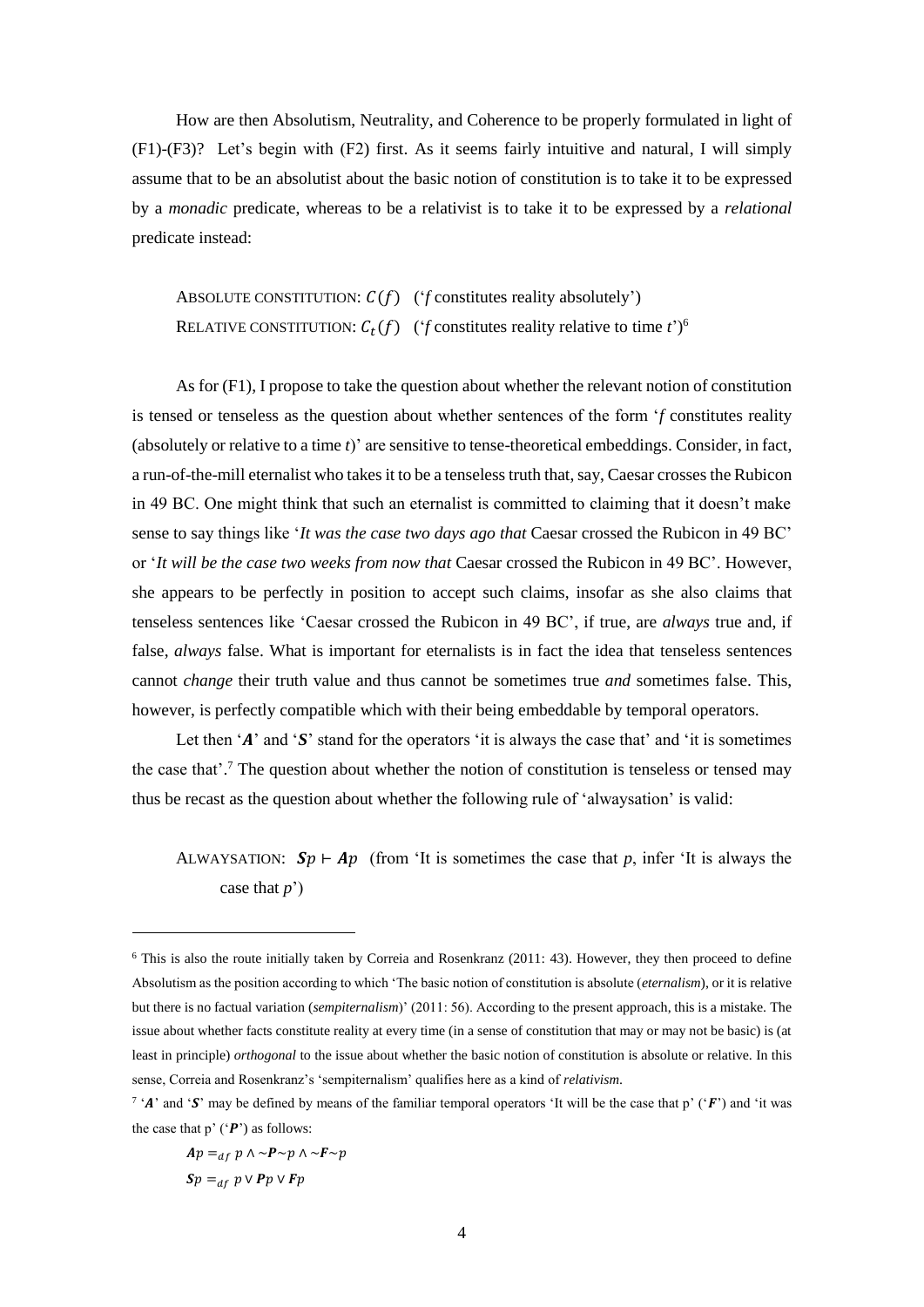How are then Absolutism, Neutrality, and Coherence to be properly formulated in light of (F1)-(F3)? Let's begin with (F2) first. As it seems fairly intuitive and natural, I will simply assume that to be an absolutist about the basic notion of constitution is to take it to be expressed by a *monadic* predicate, whereas to be a relativist is to take it to be expressed by a *relational* predicate instead:

ABSOLUTE CONSTITUTION:  $C(f)$  (*'f* constitutes reality absolutely') RELATIVE CONSTITUTION:  $C_t(f)$  (*'f* constitutes reality relative to time *t*')<sup>6</sup>

As for (F1), I propose to take the question about whether the relevant notion of constitution is tensed or tenseless as the question about whether sentences of the form '*f* constitutes reality (absolutely or relative to a time *t*)' are sensitive to tense-theoretical embeddings. Consider, in fact, a run-of-the-mill eternalist who takes it to be a tenseless truth that, say, Caesar crossesthe Rubicon in 49 BC. One might think that such an eternalist is committed to claiming that it doesn't make sense to say things like '*It was the case two days ago that* Caesar crossed the Rubicon in 49 BC' or '*It will be the case two weeks from now that* Caesar crossed the Rubicon in 49 BC'. However, she appears to be perfectly in position to accept such claims, insofar as she also claims that tenseless sentences like 'Caesar crossed the Rubicon in 49 BC', if true, are *always* true and, if false, *always* false. What is important for eternalists is in fact the idea that tenseless sentences cannot *change* their truth value and thus cannot be sometimes true *and* sometimes false. This, however, is perfectly compatible which with their being embeddable by temporal operators.

Let then ' $\vec{A}$ ' and ' $\vec{S}$ ' stand for the operators 'it is always the case that' and 'it is sometimes the case that'. <sup>7</sup> The question about whether the notion of constitution is tenseless or tensed may thus be recast as the question about whether the following rule of 'alwaysation' is valid:

# ALWAYSATION:  $Sp \vdash Ap$  (from 'It is sometimes the case that p, infer 'It is always the case that *p*')

$$
Ap =_{df} p \land \sim P \sim p \land \sim F \sim p
$$
  
Sp =\_{df} p \lor Pp \lor Fp

<sup>6</sup> This is also the route initially taken by Correia and Rosenkranz (2011: 43). However, they then proceed to define Absolutism as the position according to which 'The basic notion of constitution is absolute (*eternalism*), or it is relative but there is no factual variation (*sempiternalism*)' (2011: 56). According to the present approach, this is a mistake. The issue about whether facts constitute reality at every time (in a sense of constitution that may or may not be basic) is (at least in principle) *orthogonal* to the issue about whether the basic notion of constitution is absolute or relative. In this sense, Correia and Rosenkranz's 'sempiternalism' qualifies here as a kind of *relativism*.

<sup>&</sup>lt;sup>7</sup> 'A' and 'S' may be defined by means of the familiar temporal operators 'It will be the case that p' ('F') and 'it was the case that  $p'$  ( $'P'$ ) as follows: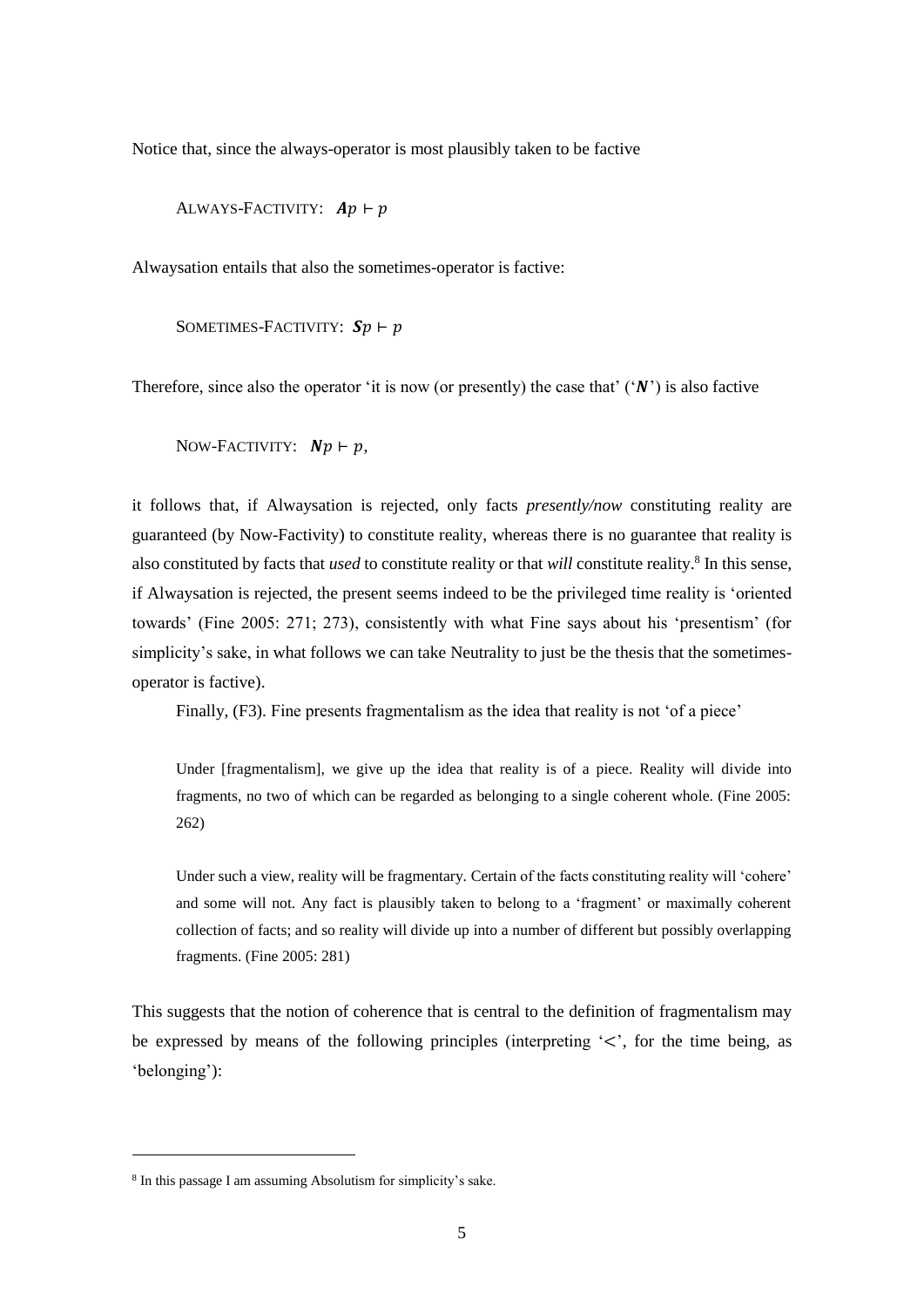Notice that, since the always-operator is most plausibly taken to be factive

ALWAYS-FACTIVITY:  $Ap \vdash p$ 

Alwaysation entails that also the sometimes-operator is factive:

SOMETIMES-FACTIVITY:  $Sp \vdash p$ 

Therefore, since also the operator 'it is now (or presently) the case that'  $'(\mathbf{N}')$  is also factive

NOW-FACTIVITY:  $Np \vdash p$ ,

it follows that, if Alwaysation is rejected, only facts *presently/now* constituting reality are guaranteed (by Now-Factivity) to constitute reality, whereas there is no guarantee that reality is also constituted by facts that *used* to constitute reality or that *will* constitute reality.<sup>8</sup> In this sense, if Alwaysation is rejected, the present seems indeed to be the privileged time reality is 'oriented towards' (Fine 2005: 271; 273), consistently with what Fine says about his 'presentism' (for simplicity's sake, in what follows we can take Neutrality to just be the thesis that the sometimesoperator is factive).

Finally, (F3). Fine presents fragmentalism as the idea that reality is not 'of a piece'

Under [fragmentalism], we give up the idea that reality is of a piece. Reality will divide into fragments, no two of which can be regarded as belonging to a single coherent whole. (Fine 2005: 262)

Under such a view, reality will be fragmentary. Certain of the facts constituting reality will 'cohere' and some will not. Any fact is plausibly taken to belong to a 'fragment' or maximally coherent collection of facts; and so reality will divide up into a number of different but possibly overlapping fragments. (Fine 2005: 281)

This suggests that the notion of coherence that is central to the definition of fragmentalism may be expressed by means of the following principles (interpreting  $\leq$ , for the time being, as 'belonging'):

<sup>8</sup> In this passage I am assuming Absolutism for simplicity's sake.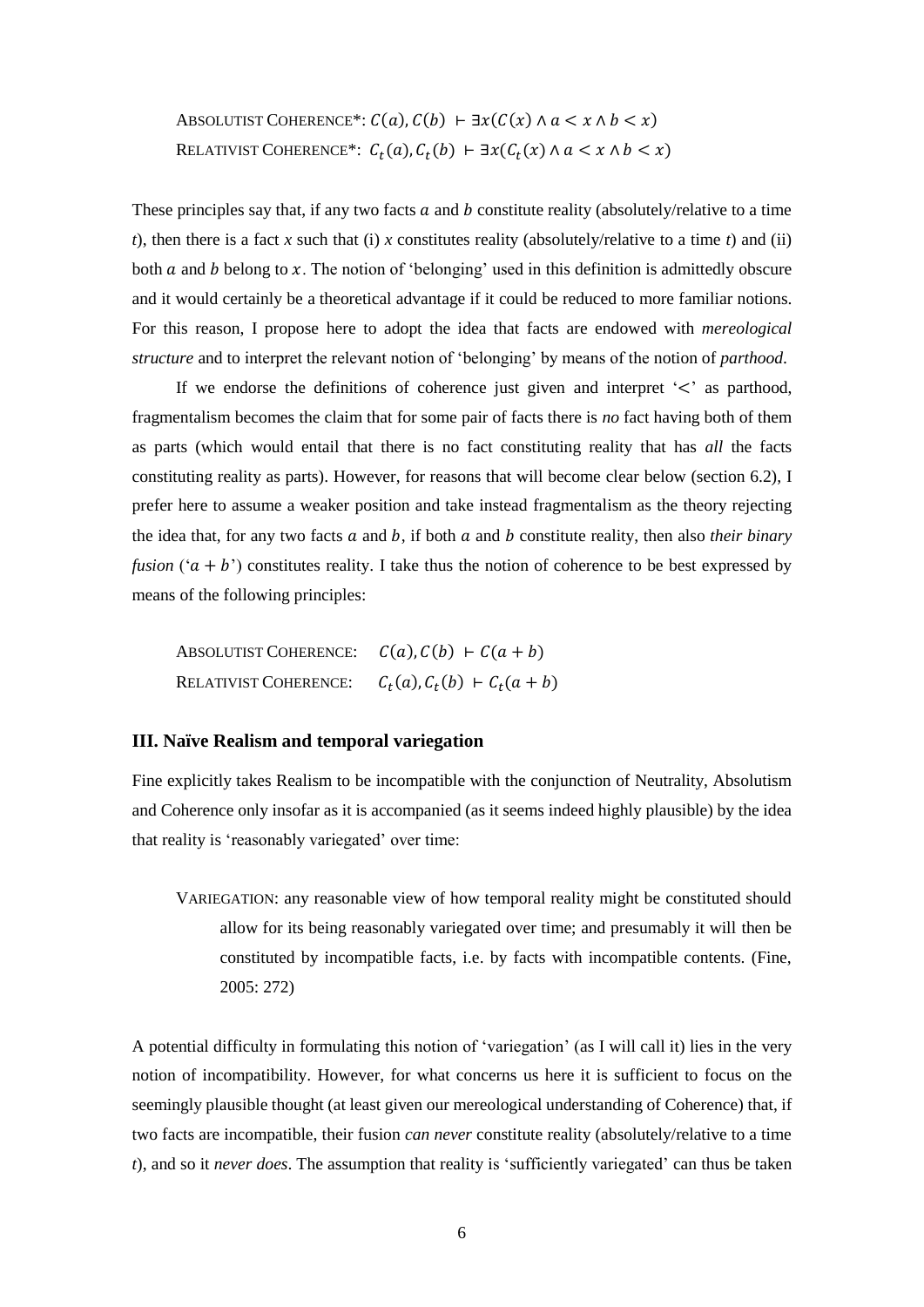ABSOLUTIST COHERENCE\*:  $C(a)$ ,  $C(b)$  ⊢  $\exists x (C(x) \land a < x \land b < x)$ RELATIVIST COHERENCE\*:  $C_t(a)$ ,  $C_t(b)$   $\vdash \exists x (C_t(x) \land a < x \land b < x)$ 

These principles say that, if any two facts  $a$  and  $b$  constitute reality (absolutely/relative to a time *t*), then there is a fact *x* such that (i) *x* constitutes reality (absolutely/relative to a time *t*) and (ii) both  $\alpha$  and  $\beta$  belong to  $\alpha$ . The notion of 'belonging' used in this definition is admittedly obscure and it would certainly be a theoretical advantage if it could be reduced to more familiar notions. For this reason, I propose here to adopt the idea that facts are endowed with *mereological structure* and to interpret the relevant notion of 'belonging' by means of the notion of *parthood*.

If we endorse the definitions of coherence just given and interpret  $\leq$  as parthood, fragmentalism becomes the claim that for some pair of facts there is *no* fact having both of them as parts (which would entail that there is no fact constituting reality that has *all* the facts constituting reality as parts). However, for reasons that will become clear below (section 6.2), I prefer here to assume a weaker position and take instead fragmentalism as the theory rejecting the idea that, for any two facts  $a$  and  $b$ , if both  $a$  and  $b$  constitute reality, then also *their binary fusion* ( $(a + b)$ ) constitutes reality. I take thus the notion of coherence to be best expressed by means of the following principles:

ABSOLUTIST COHERENCE:  $C(a)$ ,  $C(b)$  ⊢  $C(a + b)$ RELATIVIST COHERENCE:  $(a), C_t(b) \vdash C_t(a + b)$ 

# **III. Naïve Realism and temporal variegation**

Fine explicitly takes Realism to be incompatible with the conjunction of Neutrality, Absolutism and Coherence only insofar as it is accompanied (as it seems indeed highly plausible) by the idea that reality is 'reasonably variegated' over time:

VARIEGATION: any reasonable view of how temporal reality might be constituted should allow for its being reasonably variegated over time; and presumably it will then be constituted by incompatible facts, i.e. by facts with incompatible contents. (Fine, 2005: 272)

A potential difficulty in formulating this notion of 'variegation' (as I will call it) lies in the very notion of incompatibility. However, for what concerns us here it is sufficient to focus on the seemingly plausible thought (at least given our mereological understanding of Coherence) that, if two facts are incompatible, their fusion *can never* constitute reality (absolutely/relative to a time *t*), and so it *never does*. The assumption that reality is 'sufficiently variegated' can thus be taken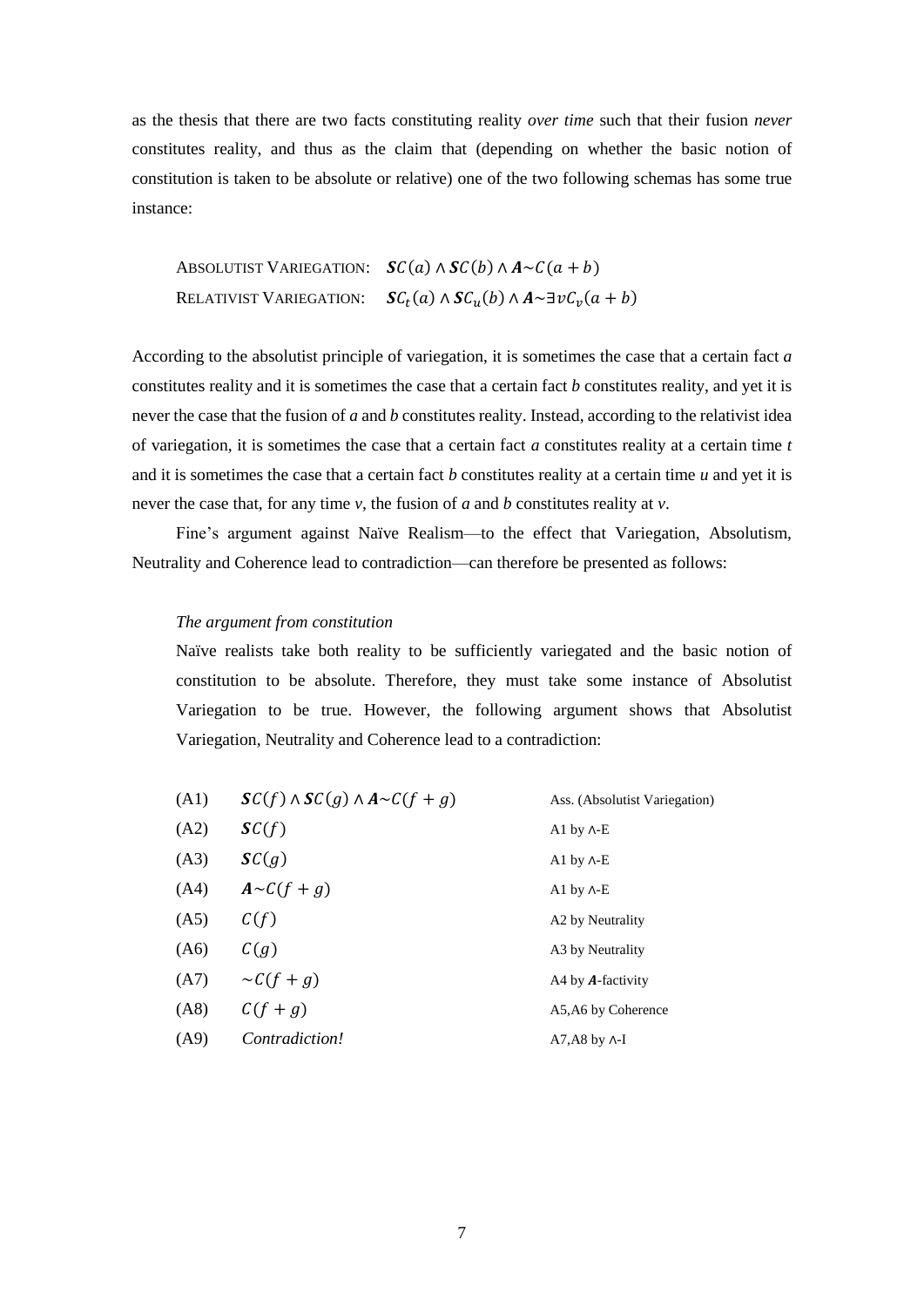as the thesis that there are two facts constituting reality *over time* such that their fusion *never* constitutes reality, and thus as the claim that (depending on whether the basic notion of constitution is taken to be absolute or relative) one of the two following schemas has some true instance:

ABSOLUTIST VARIEGATION:  $\mathcal{S}C(a) \wedge \mathcal{S}C(b) \wedge A \sim C(a + b)$ RELATIVIST VARIEGATION:  $\mathcal{S}\mathcal{C}_t(a) \wedge \mathcal{S}\mathcal{C}_u(b) \wedge A \sim \exists \nu \mathcal{C}_v(a+b)$ 

According to the absolutist principle of variegation, it is sometimes the case that a certain fact *a* constitutes reality and it is sometimes the case that a certain fact *b* constitutes reality, and yet it is never the case that the fusion of *a* and *b* constitutes reality. Instead, according to the relativist idea of variegation, it is sometimes the case that a certain fact *a* constitutes reality at a certain time *t* and it is sometimes the case that a certain fact *b* constitutes reality at a certain time *u* and yet it is never the case that, for any time *v*, the fusion of *a* and *b* constitutes reality at *v*.

Fine's argument against Naïve Realism—to the effect that Variegation, Absolutism, Neutrality and Coherence lead to contradiction—can therefore be presented as follows:

### *The argument from constitution*

Naïve realists take both reality to be sufficiently variegated and the basic notion of constitution to be absolute. Therefore, they must take some instance of Absolutist Variegation to be true. However, the following argument shows that Absolutist Variegation, Neutrality and Coherence lead to a contradiction:

| (A1) | $SC(f) \wedge SC(g) \wedge A \sim C(f + g)$ | Ass. (Absolutist Variegation) |
|------|---------------------------------------------|-------------------------------|
| (A2) | SC(f)                                       | Al by $\Lambda$ -E            |
| (A3) | SC(g)                                       | Al by $\Lambda$ -E            |
| (A4) | $A \sim C(f+g)$                             | Al by $\Lambda$ -E            |
| (A5) | C(f)                                        | A2 by Neutrality              |
| (A6) | C(g)                                        | A3 by Neutrality              |
| (A7) | $\sim C(f+g)$                               | A4 by <b>A</b> -factivity     |
| (AB) | $C(f+g)$                                    | A5, A6 by Coherence           |
| (A9) | <i>Contradiction!</i>                       | $A7.A8$ by $\Lambda$ -I       |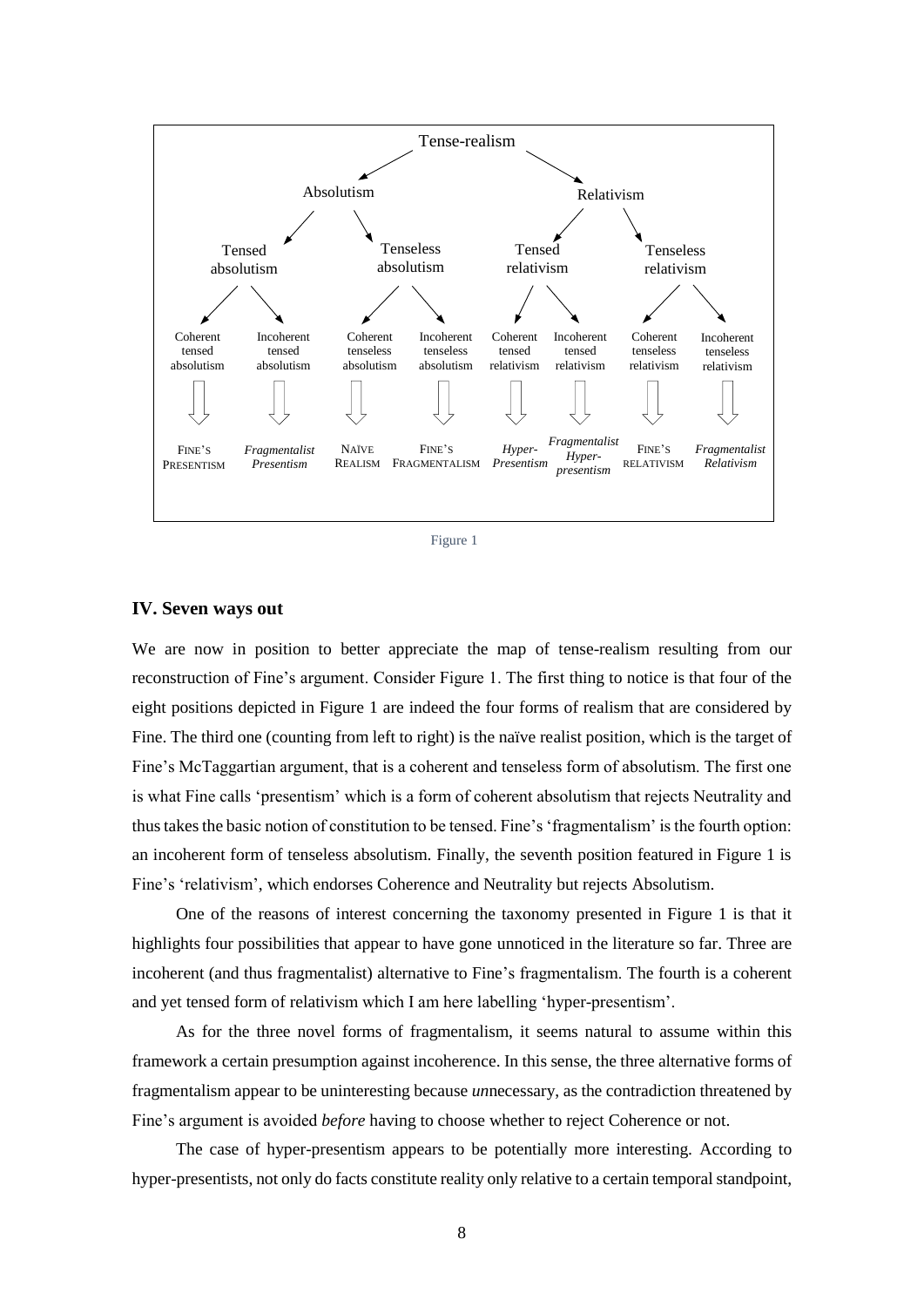

Figure 1

#### **IV. Seven ways out**

We are now in position to better appreciate the map of tense-realism resulting from our reconstruction of Fine's argument. Consider Figure 1. The first thing to notice is that four of the eight positions depicted in Figure 1 are indeed the four forms of realism that are considered by Fine. The third one (counting from left to right) is the naïve realist position, which is the target of Fine's McTaggartian argument, that is a coherent and tenseless form of absolutism. The first one is what Fine calls 'presentism' which is a form of coherent absolutism that rejects Neutrality and thus takes the basic notion of constitution to be tensed. Fine's 'fragmentalism' is the fourth option: an incoherent form of tenseless absolutism. Finally, the seventh position featured in Figure 1 is Fine's 'relativism', which endorses Coherence and Neutrality but rejects Absolutism.

One of the reasons of interest concerning the taxonomy presented in Figure 1 is that it highlights four possibilities that appear to have gone unnoticed in the literature so far. Three are incoherent (and thus fragmentalist) alternative to Fine's fragmentalism. The fourth is a coherent and yet tensed form of relativism which I am here labelling 'hyper-presentism'.

As for the three novel forms of fragmentalism, it seems natural to assume within this framework a certain presumption against incoherence. In this sense, the three alternative forms of fragmentalism appear to be uninteresting because *un*necessary, as the contradiction threatened by Fine's argument is avoided *before* having to choose whether to reject Coherence or not.

The case of hyper-presentism appears to be potentially more interesting. According to hyper-presentists, not only do facts constitute reality only relative to a certain temporal standpoint,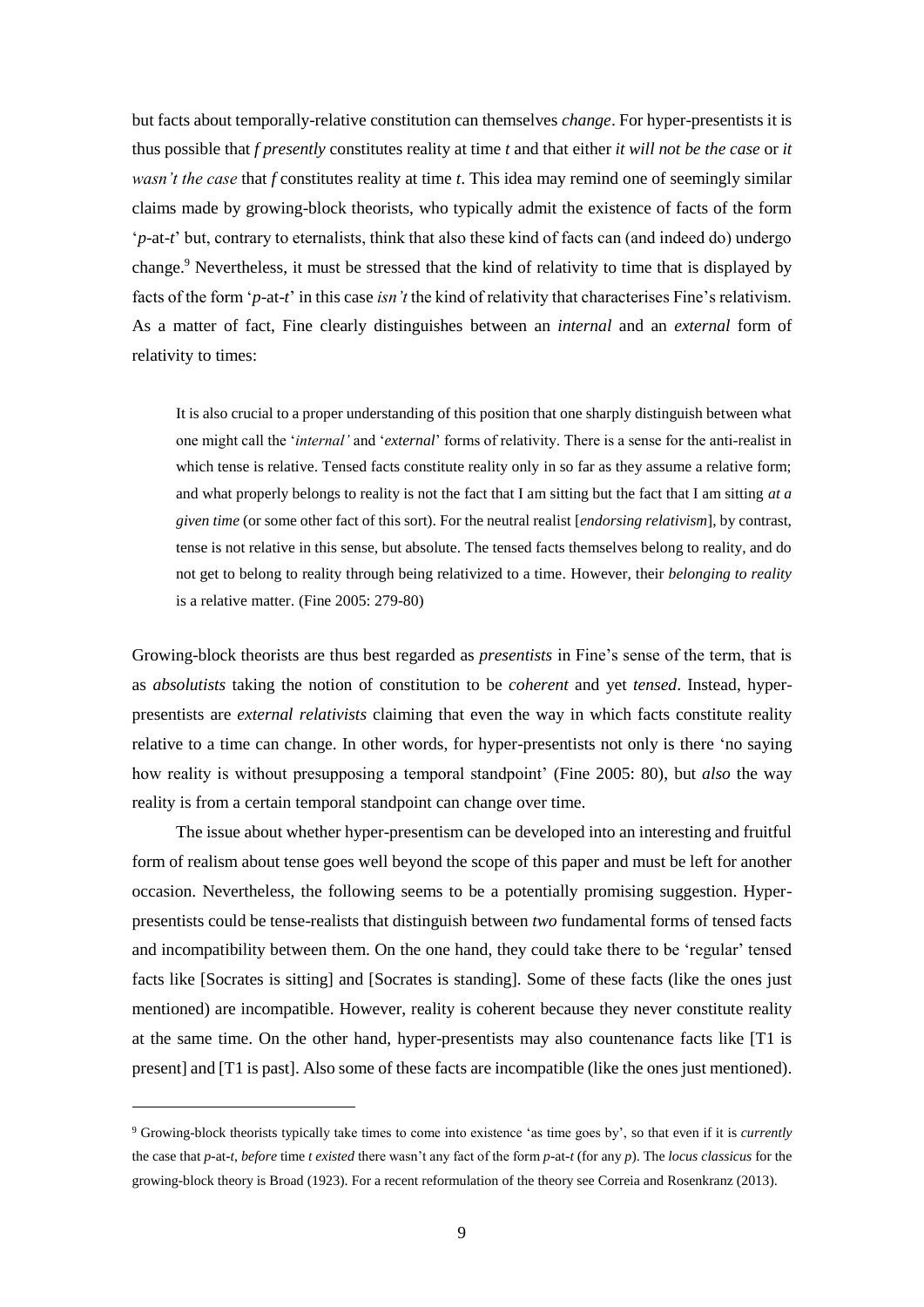but facts about temporally-relative constitution can themselves *change*. For hyper-presentists it is thus possible that *f presently* constitutes reality at time *t* and that either *it will not be the case* or *it wasn't the case* that *f* constitutes reality at time *t*. This idea may remind one of seemingly similar claims made by growing-block theorists, who typically admit the existence of facts of the form '*p*-at-*t*' but, contrary to eternalists, think that also these kind of facts can (and indeed do) undergo change.<sup>9</sup> Nevertheless, it must be stressed that the kind of relativity to time that is displayed by facts of the form '*p*-at-*t*' in this case *isn't* the kind of relativity that characterises Fine's relativism. As a matter of fact, Fine clearly distinguishes between an *internal* and an *external* form of relativity to times:

It is also crucial to a proper understanding of this position that one sharply distinguish between what one might call the '*internal'* and '*external*' forms of relativity. There is a sense for the anti-realist in which tense is relative. Tensed facts constitute reality only in so far as they assume a relative form; and what properly belongs to reality is not the fact that I am sitting but the fact that I am sitting *at a given time* (or some other fact of this sort). For the neutral realist [*endorsing relativism*], by contrast, tense is not relative in this sense, but absolute. The tensed facts themselves belong to reality, and do not get to belong to reality through being relativized to a time*.* However, their *belonging to reality* is a relative matter. (Fine 2005: 279-80)

Growing-block theorists are thus best regarded as *presentists* in Fine's sense of the term, that is as *absolutists* taking the notion of constitution to be *coherent* and yet *tensed*. Instead, hyperpresentists are *external relativists* claiming that even the way in which facts constitute reality relative to a time can change. In other words, for hyper-presentists not only is there 'no saying how reality is without presupposing a temporal standpoint' (Fine 2005: 80), but *also* the way reality is from a certain temporal standpoint can change over time.

The issue about whether hyper-presentism can be developed into an interesting and fruitful form of realism about tense goes well beyond the scope of this paper and must be left for another occasion. Nevertheless, the following seems to be a potentially promising suggestion. Hyperpresentists could be tense-realists that distinguish between *two* fundamental forms of tensed facts and incompatibility between them. On the one hand, they could take there to be 'regular' tensed facts like [Socrates is sitting] and [Socrates is standing]. Some of these facts (like the ones just mentioned) are incompatible. However, reality is coherent because they never constitute reality at the same time. On the other hand, hyper-presentists may also countenance facts like [T1 is present] and [T1 is past]. Also some of these facts are incompatible (like the ones just mentioned).

<sup>9</sup> Growing-block theorists typically take times to come into existence 'as time goes by', so that even if it is *currently* the case that *p-*at-*t*, *before* time *t existed* there wasn't any fact of the form *p*-at-*t* (for any *p*). The *locus classicus* for the growing-block theory is Broad (1923). For a recent reformulation of the theory see Correia and Rosenkranz (2013).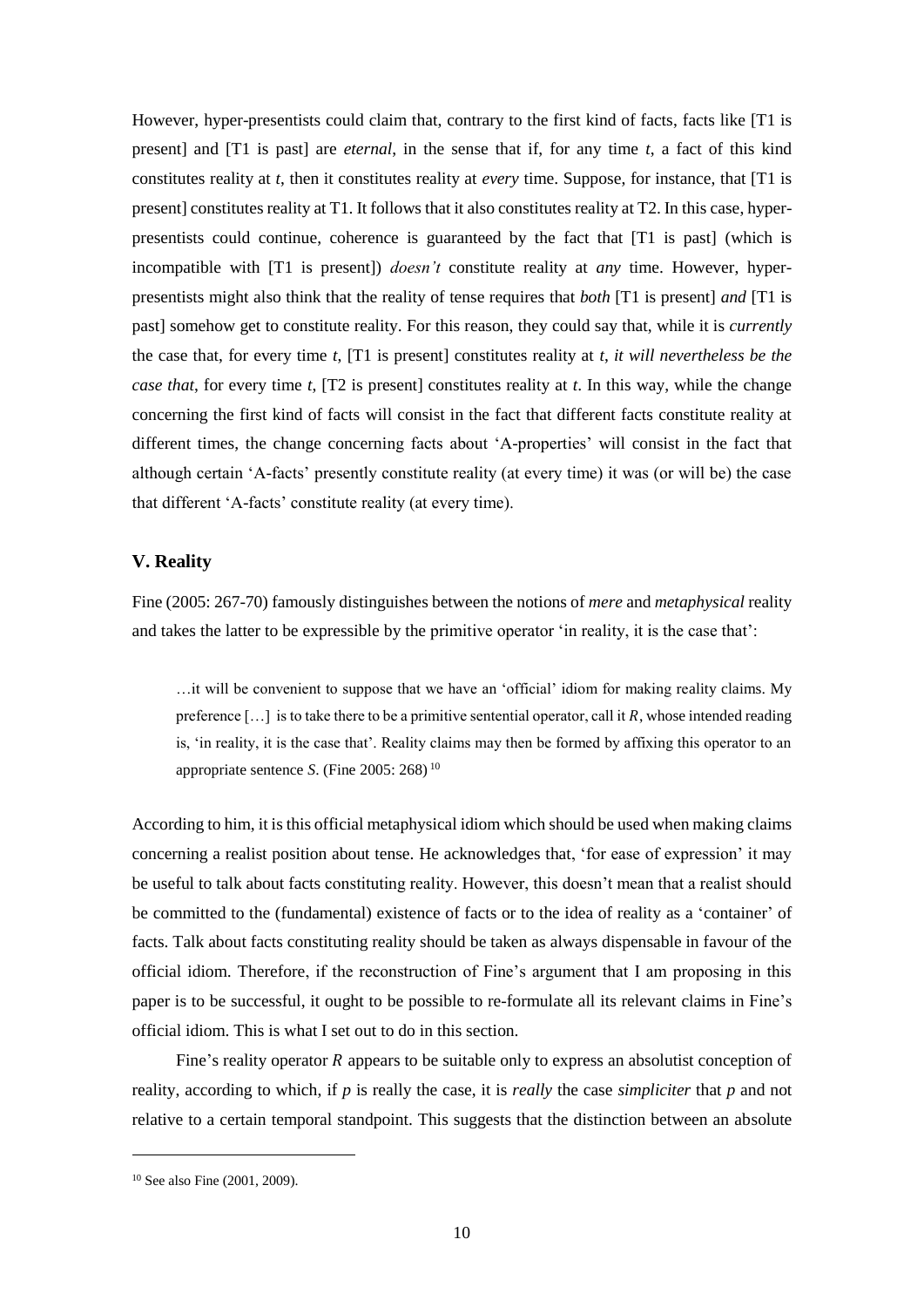However, hyper-presentists could claim that, contrary to the first kind of facts, facts like [T1 is present] and [T1 is past] are *eternal*, in the sense that if, for any time *t*, a fact of this kind constitutes reality at *t*, then it constitutes reality at *every* time. Suppose, for instance, that [T1 is present] constitutes reality at T1. It follows that it also constitutes reality at T2. In this case, hyperpresentists could continue, coherence is guaranteed by the fact that [T1 is past] (which is incompatible with [T1 is present]) *doesn't* constitute reality at *any* time. However, hyperpresentists might also think that the reality of tense requires that *both* [T1 is present] *and* [T1 is past] somehow get to constitute reality. For this reason, they could say that, while it is *currently* the case that, for every time *t*, [T1 is present] constitutes reality at *t*, *it will nevertheless be the case that*, for every time *t*, [T2 is present] constitutes reality at *t*. In this way, while the change concerning the first kind of facts will consist in the fact that different facts constitute reality at different times, the change concerning facts about 'A-properties' will consist in the fact that although certain 'A-facts' presently constitute reality (at every time) it was (or will be) the case that different 'A-facts' constitute reality (at every time).

## **V. Reality**

Fine (2005: 267-70) famously distinguishes between the notions of *mere* and *metaphysical* reality and takes the latter to be expressible by the primitive operator 'in reality, it is the case that':

…it will be convenient to suppose that we have an 'official' idiom for making reality claims. My preference  $[\dots]$  is to take there to be a primitive sentential operator, call it R, whose intended reading is, 'in reality, it is the case that'. Reality claims may then be formed by affixing this operator to an appropriate sentence *S*. (Fine 2005: 268) <sup>10</sup>

According to him, it is this official metaphysical idiom which should be used when making claims concerning a realist position about tense. He acknowledges that, 'for ease of expression' it may be useful to talk about facts constituting reality. However, this doesn't mean that a realist should be committed to the (fundamental) existence of facts or to the idea of reality as a 'container' of facts. Talk about facts constituting reality should be taken as always dispensable in favour of the official idiom. Therefore, if the reconstruction of Fine's argument that I am proposing in this paper is to be successful, it ought to be possible to re-formulate all its relevant claims in Fine's official idiom. This is what I set out to do in this section.

Fine's reality operator  $R$  appears to be suitable only to express an absolutist conception of reality, according to which, if *p* is really the case, it is *really* the case *simpliciter* that *p* and not relative to a certain temporal standpoint. This suggests that the distinction between an absolute

<sup>10</sup> See also Fine (2001, 2009).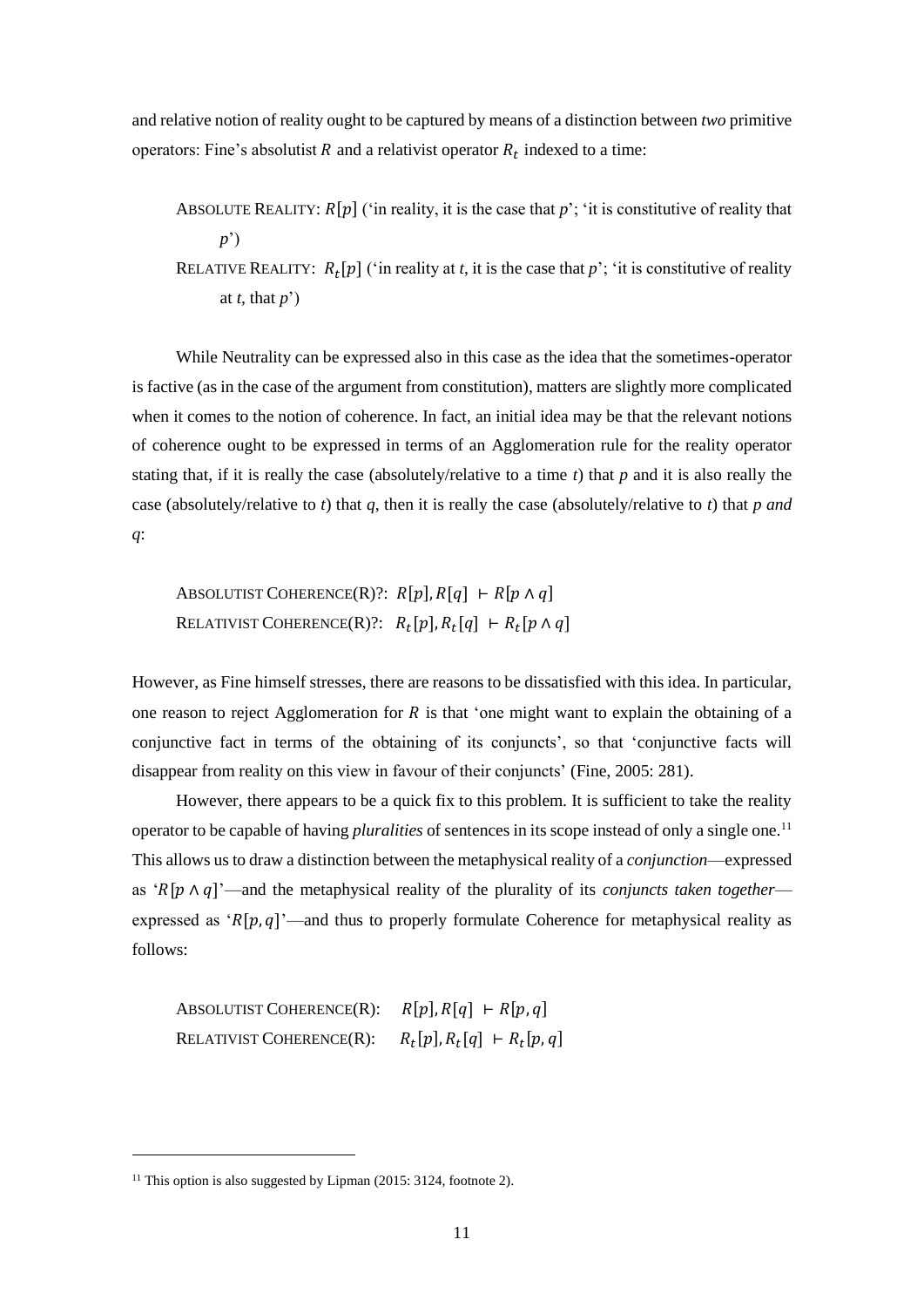and relative notion of reality ought to be captured by means of a distinction between *two* primitive operators: Fine's absolutist R and a relativist operator  $R_t$  indexed to a time:

ABSOLUTE REALITY:  $R[p]$  ('in reality, it is the case that p'; 'it is constitutive of reality that *p*')

RELATIVE REALITY:  $R_t[p]$  ('in reality at *t*, it is the case that *p*'; 'it is constitutive of reality at *t*, that  $p'$ )

While Neutrality can be expressed also in this case as the idea that the sometimes-operator is factive (as in the case of the argument from constitution), matters are slightly more complicated when it comes to the notion of coherence. In fact, an initial idea may be that the relevant notions of coherence ought to be expressed in terms of an Agglomeration rule for the reality operator stating that, if it is really the case (absolutely/relative to a time *t*) that *p* and it is also really the case (absolutely/relative to *t*) that *q*, then it is really the case (absolutely/relative to *t*) that *p and q*:

ABSOLUTIST COHERENCE(R)?:  $R[p], R[q] \vdash R[p \wedge q]$ RELATIVIST COHERENCE(R)?:  $R_t[p], R_t[q] \vdash R_t[p \wedge q]$ 

However, as Fine himself stresses, there are reasons to be dissatisfied with this idea. In particular, one reason to reject Agglomeration for  $R$  is that 'one might want to explain the obtaining of a conjunctive fact in terms of the obtaining of its conjuncts', so that 'conjunctive facts will disappear from reality on this view in favour of their conjuncts' (Fine, 2005: 281).

However, there appears to be a quick fix to this problem. It is sufficient to take the reality operator to be capable of having *pluralities* of sentences in its scope instead of only a single one.<sup>11</sup> This allows us to draw a distinction between the metaphysical reality of a *conjunction*—expressed as ' $R[p \wedge q]'$ —and the metaphysical reality of the plurality of its *conjuncts taken together* expressed as ' $R[p, q]'$ —and thus to properly formulate Coherence for metaphysical reality as follows:

ABSOLUTIST COHERENCE(R):  $R[p], R[q] \vdash R[p, q]$ RELATIVIST COHERENCE(R):  $R_t[p], R_t[q] \vdash R_t[p, q]$ 

<sup>&</sup>lt;sup>11</sup> This option is also suggested by Lipman  $(2015: 3124,$  footnote 2).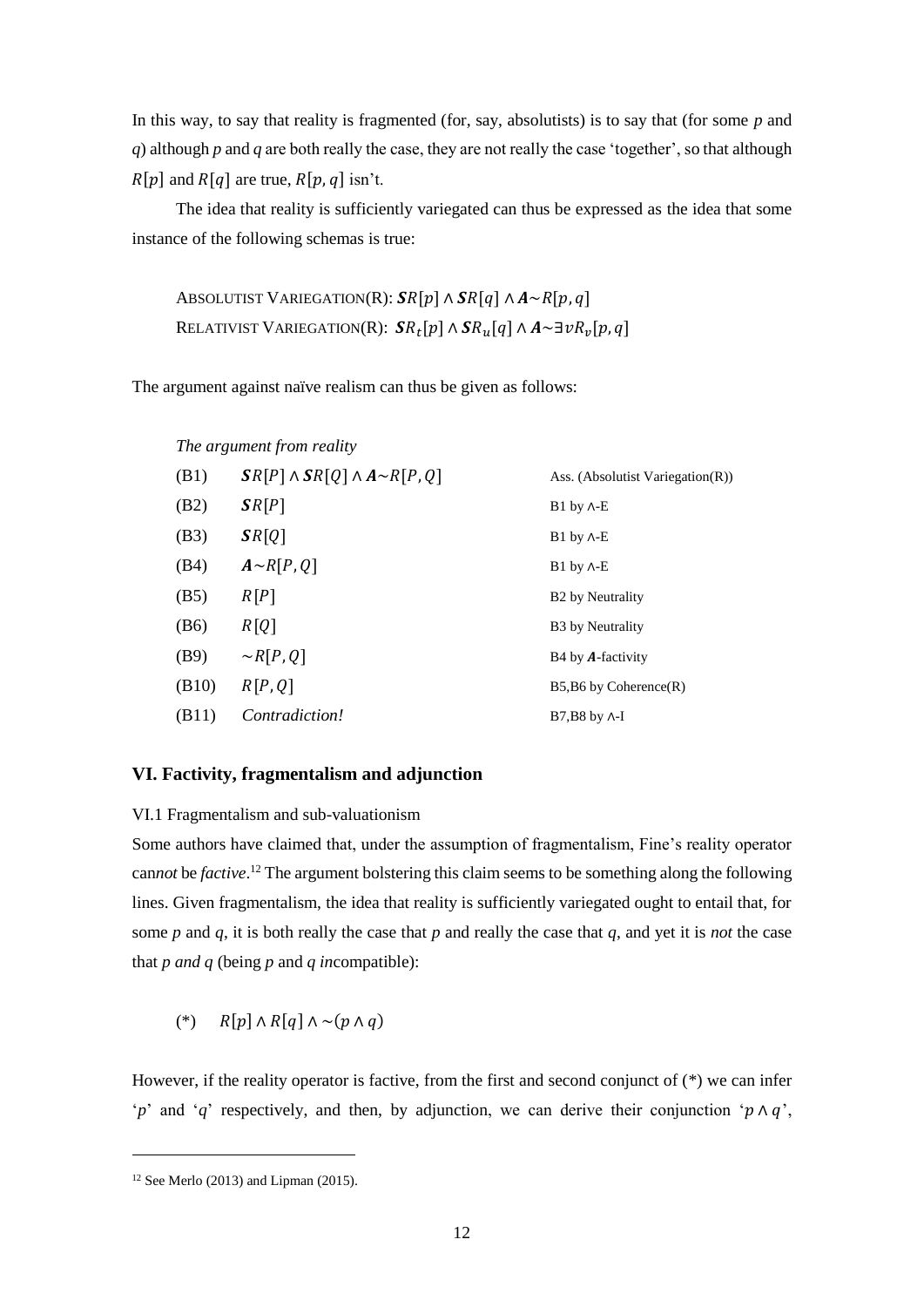In this way, to say that reality is fragmented (for, say, absolutists) is to say that (for some *p* and *q*) although *p* and *q* are both really the case, they are not really the case 'together', so that although  $R[p]$  and  $R[q]$  are true,  $R[p, q]$  isn't.

The idea that reality is sufficiently variegated can thus be expressed as the idea that some instance of the following schemas is true:

ABSOLUTIST VARIEGATION(R):  $\mathcal{S}R[p] \wedge \mathcal{S}R[q] \wedge A \sim R[p, q]$ RELATIVIST VARIEGATION(R):  $\mathcal{S}R_t[p]\wedge\mathcal{S}R_u[q]\wedge A\!\!\sim\!\exists\textit{v}R_v[p,q]$ 

The argument against naïve realism can thus be given as follows:

|  | The argument from reality |  |  |
|--|---------------------------|--|--|
|--|---------------------------|--|--|

| (B1)  | $\mathcal{S}R[P] \wedge \mathcal{S}R[Q] \wedge A \sim R[P,Q]$ | Ass. (Absolutist Variegation $(R)$ ) |
|-------|---------------------------------------------------------------|--------------------------------------|
| (B2)  | SR[P]                                                         | $B1$ by $\Lambda$ -E                 |
| (B3)  | SR[Q]                                                         | $B1$ by $\Lambda$ -E                 |
| (B4)  | $A \sim R[P,Q]$                                               | $B1$ by $\Lambda$ -E                 |
| (B5)  | R[P]                                                          | B <sub>2</sub> by Neutrality         |
| (B6)  | R[Q]                                                          | B <sub>3</sub> by Neutrality         |
| (B9)  | $\sim R[P,Q]$                                                 | B4 by <b>A</b> -factivity            |
| (B10) | R[P,Q]                                                        | $B5,B6$ by Coherence $(R)$           |
| (B11) | Contradiction!                                                | $B7.B8$ by $\Lambda$ -I              |

# **VI. Factivity, fragmentalism and adjunction**

VI.1 Fragmentalism and sub-valuationism

Some authors have claimed that, under the assumption of fragmentalism, Fine's reality operator can*not* be *factive*. <sup>12</sup> The argument bolstering this claim seems to be something along the following lines. Given fragmentalism, the idea that reality is sufficiently variegated ought to entail that, for some *p* and *q*, it is both really the case that *p* and really the case that *q*, and yet it is *not* the case that *p and q* (being *p* and *q in*compatible):

(\*)  $R[p] \wedge R[q] \wedge \sim (p \wedge q)$ 

However, if the reality operator is factive, from the first and second conjunct of  $(*)$  we can infer '*p*' and '*q*' respectively, and then, by adjunction, we can derive their conjunction ' $p \wedge q$ ',

 $12$  See Merlo (2013) and Lipman (2015).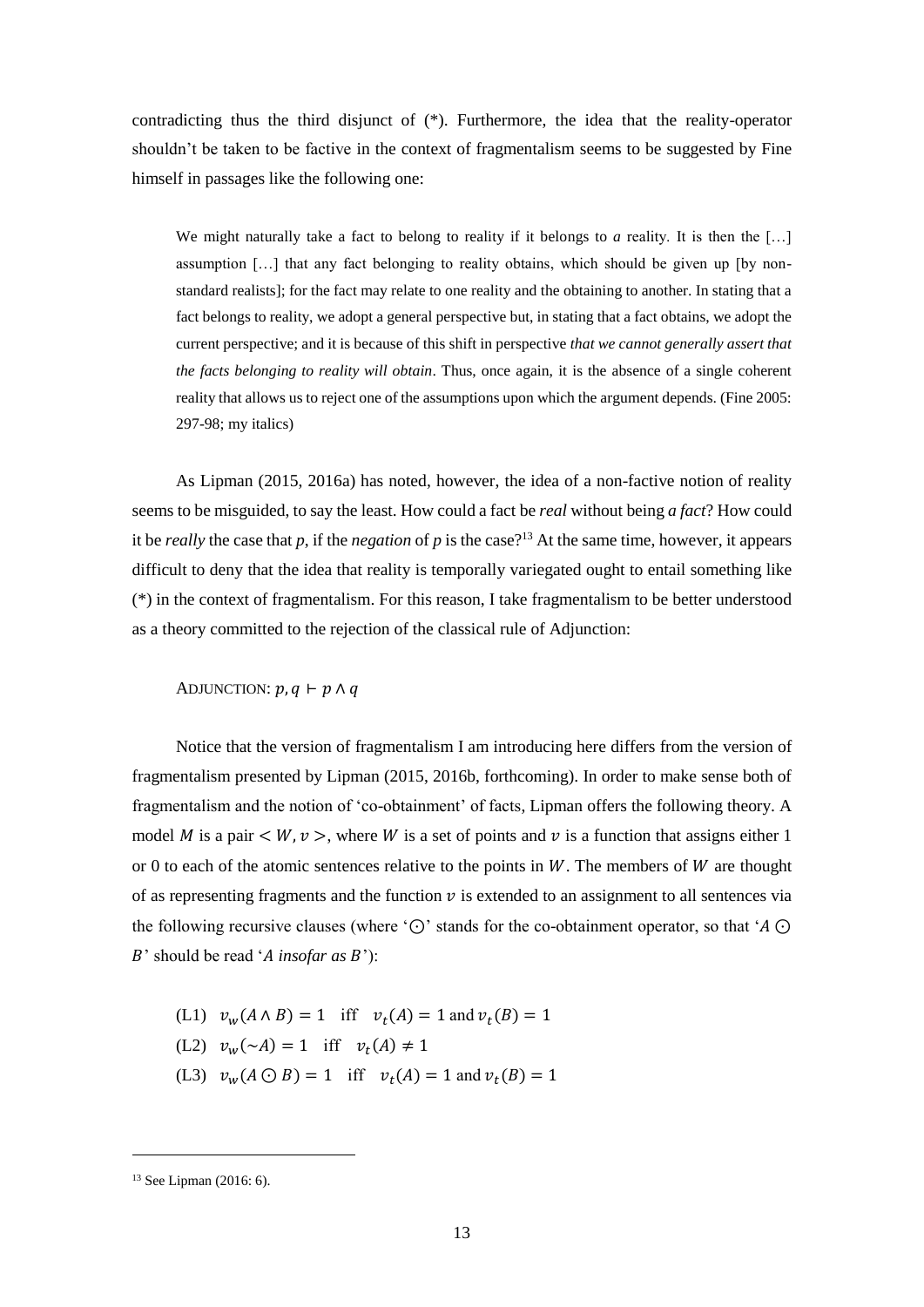contradicting thus the third disjunct of (\*). Furthermore, the idea that the reality-operator shouldn't be taken to be factive in the context of fragmentalism seems to be suggested by Fine himself in passages like the following one:

We might naturally take a fact to belong to reality if it belongs to *a* reality. It is then the [...] assumption […] that any fact belonging to reality obtains, which should be given up [by nonstandard realists]; for the fact may relate to one reality and the obtaining to another. In stating that a fact belongs to reality, we adopt a general perspective but, in stating that a fact obtains, we adopt the current perspective; and it is because of this shift in perspective *that we cannot generally assert that the facts belonging to reality will obtain*. Thus, once again, it is the absence of a single coherent reality that allows us to reject one of the assumptions upon which the argument depends. (Fine 2005: 297-98; my italics)

As Lipman (2015, 2016a) has noted, however, the idea of a non-factive notion of reality seems to be misguided, to say the least. How could a fact be *real* without being *a fact*? How could it be *really* the case that  $p$ , if the *negation* of  $p$  is the case?<sup>13</sup> At the same time, however, it appears difficult to deny that the idea that reality is temporally variegated ought to entail something like (\*) in the context of fragmentalism. For this reason, I take fragmentalism to be better understood as a theory committed to the rejection of the classical rule of Adjunction:

ADJUNCTION:  $p, q \vdash p \land q$ 

Notice that the version of fragmentalism I am introducing here differs from the version of fragmentalism presented by Lipman (2015, 2016b, forthcoming). In order to make sense both of fragmentalism and the notion of 'co-obtainment' of facts, Lipman offers the following theory. A model M is a pair  $\lt W$ ,  $\nu >$ , where W is a set of points and  $\nu$  is a function that assigns either 1 or 0 to each of the atomic sentences relative to the points in  $W$ . The members of  $W$  are thought of as representing fragments and the function  $\nu$  is extended to an assignment to all sentences via the following recursive clauses (where ' $\odot$ ' stands for the co-obtainment operator, so that 'A  $\odot$ *B*' should be read '*A* insofar as *B*'):

(L1) 
$$
v_w(A \land B) = 1
$$
 iff  $v_t(A) = 1$  and  $v_t(B) = 1$ 

- (L2)  $v_w(\sim A) = 1$  iff  $v_t(A) \neq 1$
- (L3)  $v_w(A \odot B) = 1$  iff  $v_t(A) = 1$  and  $v_t(B) = 1$

<sup>13</sup> See Lipman (2016: 6).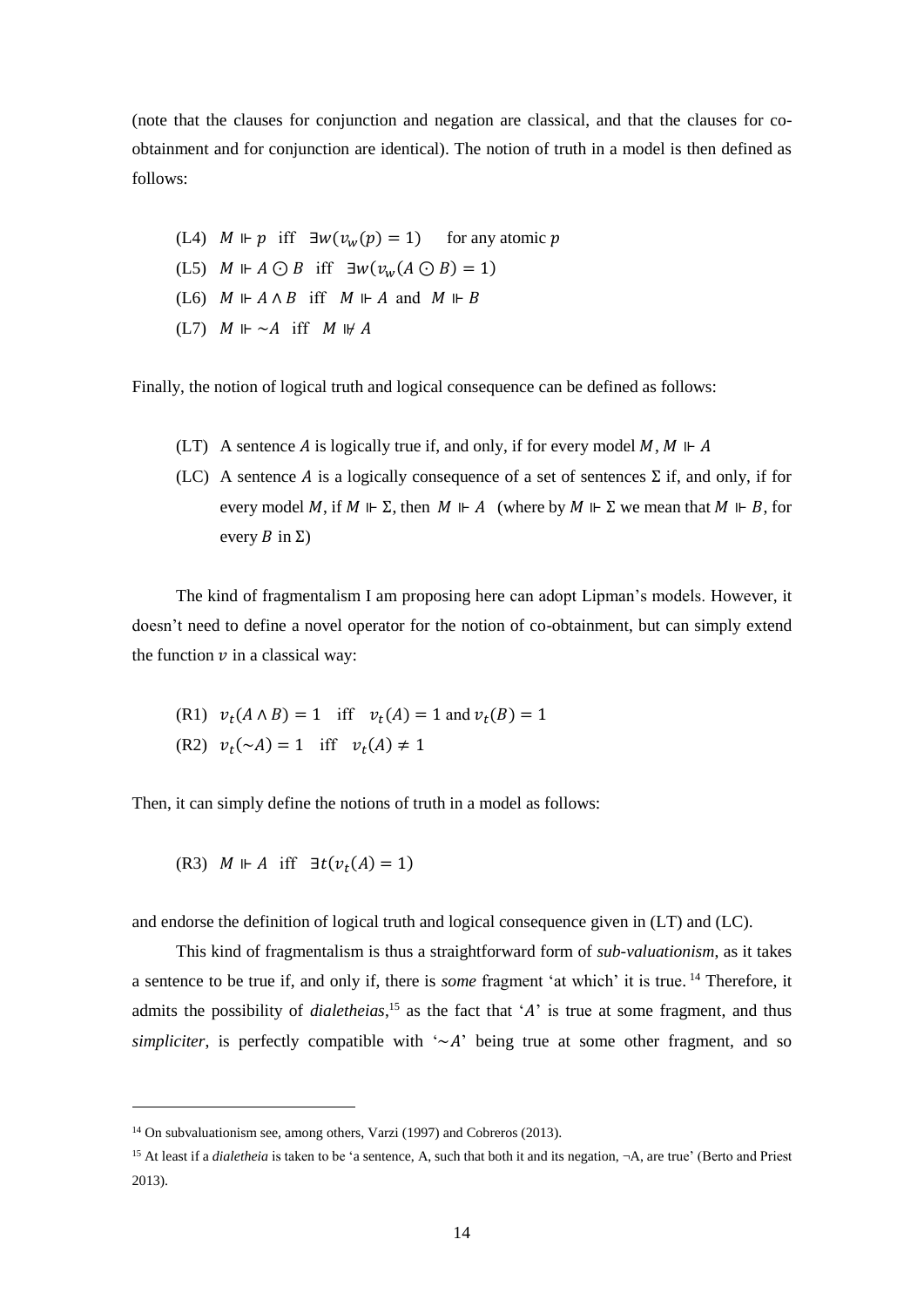(note that the clauses for conjunction and negation are classical, and that the clauses for coobtainment and for conjunction are identical). The notion of truth in a model is then defined as follows:

(L4)  $M \Vdash p$  iff  $\exists w(v_w(p) = 1)$  for any atomic p (L5)  $M \Vdash A \odot B$  iff  $\exists w(v_w(A \odot B) = 1)$ (L6)  $M \Vdash A \wedge B$  iff  $M \Vdash A$  and  $M \Vdash B$ (L7)  $M \Vdash \sim A$  iff  $M \Vdash A$ 

Finally, the notion of logical truth and logical consequence can be defined as follows:

- (LT) A sentence A is logically true if, and only, if for every model  $M, M \Vdash A$
- (LC) A sentence A is a logically consequence of a set of sentences  $\Sigma$  if, and only, if for every model M, if  $M \Vdash \Sigma$ , then  $M \Vdash A$  (where by  $M \Vdash \Sigma$  we mean that  $M \Vdash B$ , for every  $B$  in  $\Sigma$ )

The kind of fragmentalism I am proposing here can adopt Lipman's models. However, it doesn't need to define a novel operator for the notion of co-obtainment, but can simply extend the function  $\nu$  in a classical way:

(R1) 
$$
v_t(A \land B) = 1
$$
 iff  $v_t(A) = 1$  and  $v_t(B) = 1$   
(R2)  $v_t(\sim A) = 1$  iff  $v_t(A) \neq 1$ 

Then, it can simply define the notions of truth in a model as follows:

(R3)  $M \Vdash A$  iff  $\exists t (v_t(A) = 1)$ 

1

and endorse the definition of logical truth and logical consequence given in (LT) and (LC).

This kind of fragmentalism is thus a straightforward form of *sub-valuationism*, as it takes a sentence to be true if, and only if, there is *some* fragment 'at which' it is true. <sup>14</sup> Therefore, it admits the possibility of *dialetheias*,<sup>15</sup> as the fact that 'A' is true at some fragment, and thus *simpliciter*, is perfectly compatible with  $\sim A$  being true at some other fragment, and so

 $14$  On subvaluationism see, among others, Varzi (1997) and Cobreros (2013).

<sup>15</sup> At least if a *dialetheia* is taken to be 'a sentence, A, such that both it and its negation, ¬A, are true' (Berto and Priest 2013).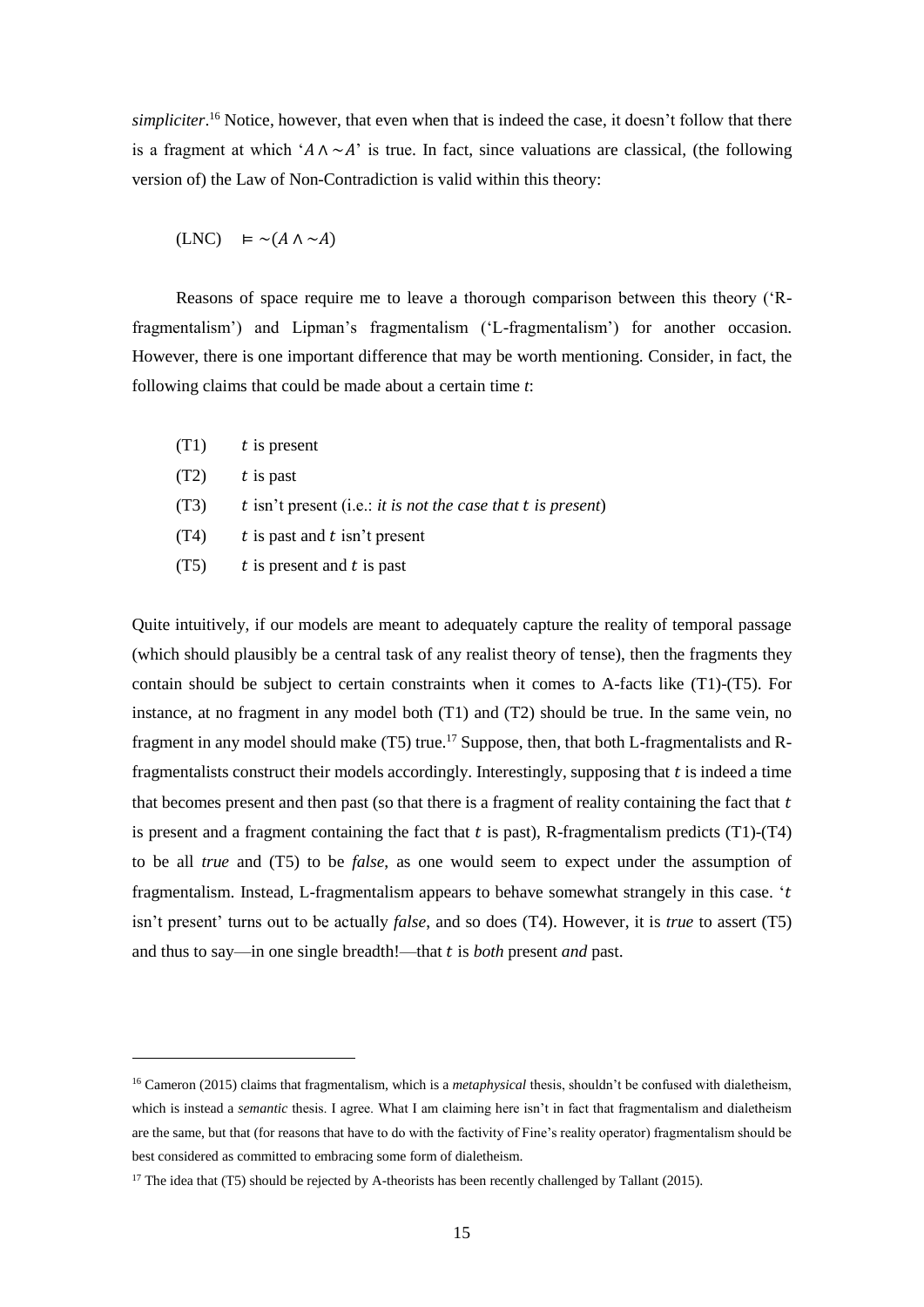*simpliciter*. <sup>16</sup> Notice, however, that even when that is indeed the case, it doesn't follow that there is a fragment at which ' $A \wedge \neg A$ ' is true. In fact, since valuations are classical, (the following version of) the Law of Non-Contradiction is valid within this theory:

$$
(LNC) \models \sim(A \land \sim A)
$$

Reasons of space require me to leave a thorough comparison between this theory ('Rfragmentalism') and Lipman's fragmentalism ('L-fragmentalism') for another occasion. However, there is one important difference that may be worth mentioning. Consider, in fact, the following claims that could be made about a certain time *t*:

- $(T1)$  *t* is present
- $(T2)$  *t* is past

1

- (T3) isn't present (i.e.: *it is not the case that is present*)
- $(T4)$  *is past and t isn't present*
- $(T5)$  *is present and t is past*

Quite intuitively, if our models are meant to adequately capture the reality of temporal passage (which should plausibly be a central task of any realist theory of tense), then the fragments they contain should be subject to certain constraints when it comes to A-facts like (T1)-(T5). For instance, at no fragment in any model both (T1) and (T2) should be true. In the same vein, no fragment in any model should make  $(T5)$  true.<sup>17</sup> Suppose, then, that both L-fragmentalists and Rfragmentalists construct their models accordingly. Interestingly, supposing that  $t$  is indeed a time that becomes present and then past (so that there is a fragment of reality containing the fact that  $t$ is present and a fragment containing the fact that  $t$  is past), R-fragmentalism predicts (T1)-(T4) to be all *true* and (T5) to be *false*, as one would seem to expect under the assumption of fragmentalism. Instead, L-fragmentalism appears to behave somewhat strangely in this case. ' isn't present' turns out to be actually *false*, and so does (T4). However, it is *true* to assert (T5) and thus to say—in one single breadth!—that is *both* present *and* past.

<sup>16</sup> Cameron (2015) claims that fragmentalism, which is a *metaphysical* thesis, shouldn't be confused with dialetheism, which is instead a *semantic* thesis. I agree. What I am claiming here isn't in fact that fragmentalism and dialetheism are the same, but that (for reasons that have to do with the factivity of Fine's reality operator) fragmentalism should be best considered as committed to embracing some form of dialetheism.

<sup>&</sup>lt;sup>17</sup> The idea that (T5) should be rejected by A-theorists has been recently challenged by Tallant (2015).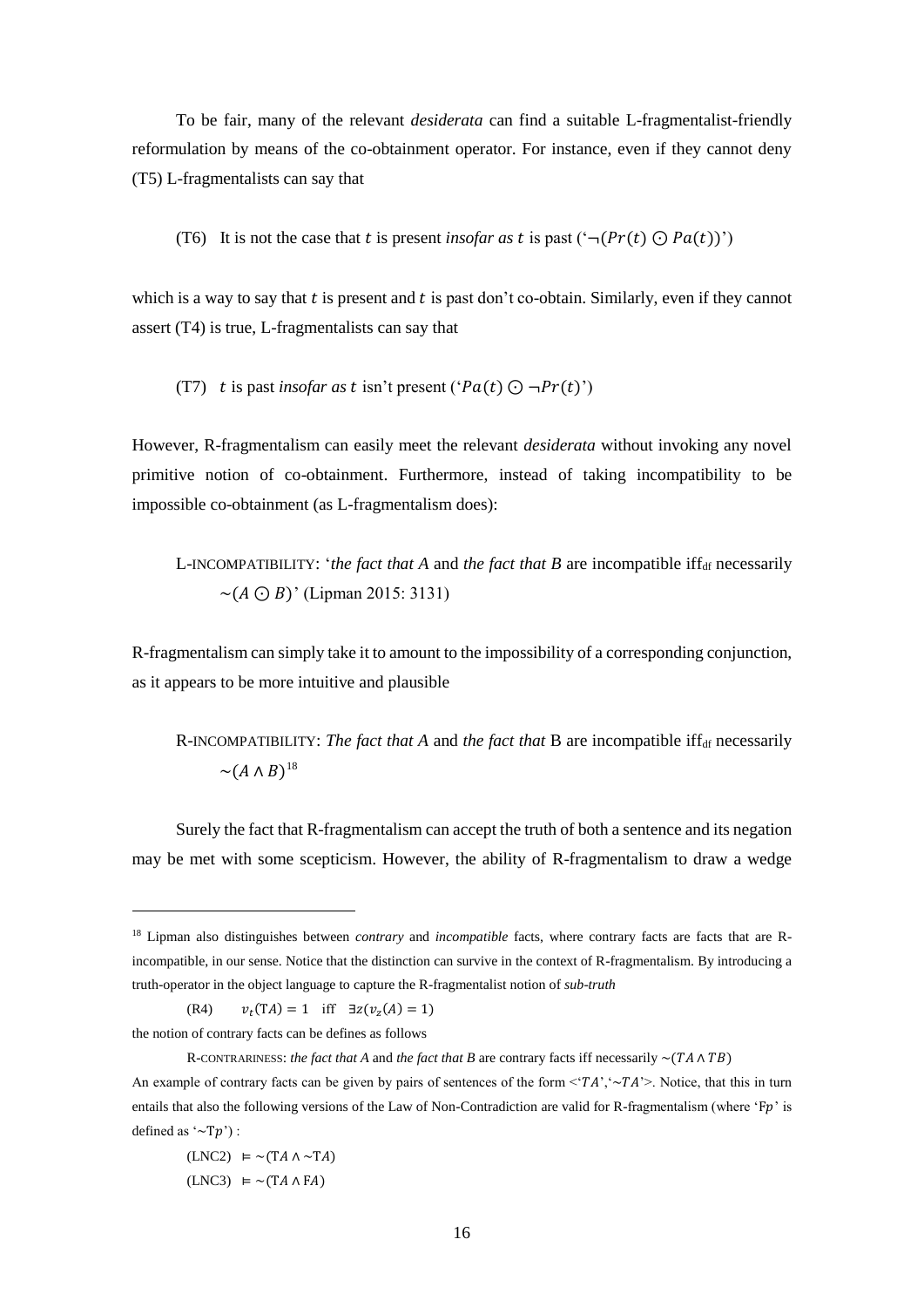To be fair, many of the relevant *desiderata* can find a suitable L-fragmentalist-friendly reformulation by means of the co-obtainment operator. For instance, even if they cannot deny (T5) L-fragmentalists can say that

(T6) It is not the case that *t* is present *insofar as t* is past (
$$
\neg (Pr(t) \bigcirc Pa(t))'
$$
)

which is a way to say that  $t$  is present and  $t$  is past don't co-obtain. Similarly, even if they cannot assert (T4) is true, L-fragmentalists can say that

(T7) t is past *insofar as t* isn't present ('Pa(t) 
$$
\bigcirc \neg Pr(t)
$$
')

However, R-fragmentalism can easily meet the relevant *desiderata* without invoking any novel primitive notion of co-obtainment. Furthermore, instead of taking incompatibility to be impossible co-obtainment (as L-fragmentalism does):

L-INCOMPATIBILITY: *'the fact that A* and *the fact that B* are incompatible iff<sub>df</sub> necessarily  $\sim (A \odot B)'$  (Lipman 2015: 3131)

R-fragmentalism can simply take it to amount to the impossibility of a corresponding conjunction, as it appears to be more intuitive and plausible

R-INCOMPATIBILITY: *The fact that* A and *the fact that* B are incompatible iff<sub>df</sub> necessarily  $\sim (A \wedge B)^{18}$ 

Surely the fact that R-fragmentalism can accept the truth of both a sentence and its negation may be met with some scepticism. However, the ability of R-fragmentalism to draw a wedge

(R4)  $(TA) = 1$  iff  $\exists z(v_z(A) = 1)$ 

the notion of contrary facts can be defines as follows

1

 $(LNC2) \equiv \sim (TA \wedge \sim TA)$  $(LNC3) \vDash \sim (TA \wedge FA)$ 

<sup>18</sup> Lipman also distinguishes between *contrary* and *incompatible* facts, where contrary facts are facts that are Rincompatible, in our sense. Notice that the distinction can survive in the context of R-fragmentalism. By introducing a truth-operator in the object language to capture the R-fragmentalist notion of *sub-truth*

R-CONTRARINESS: *the fact that A* and *the fact that B* are contrary facts iff necessarily  $\sim$ ( $TA \land TB$ )

An example of contrary facts can be given by pairs of sentences of the form  $\langle 'TA' \rangle \sim TA' \rangle$ . Notice, that this in turn entails that also the following versions of the Law of Non-Contradiction are valid for R-fragmentalism (where 'Fp' is defined as  $\sim$ Tp') :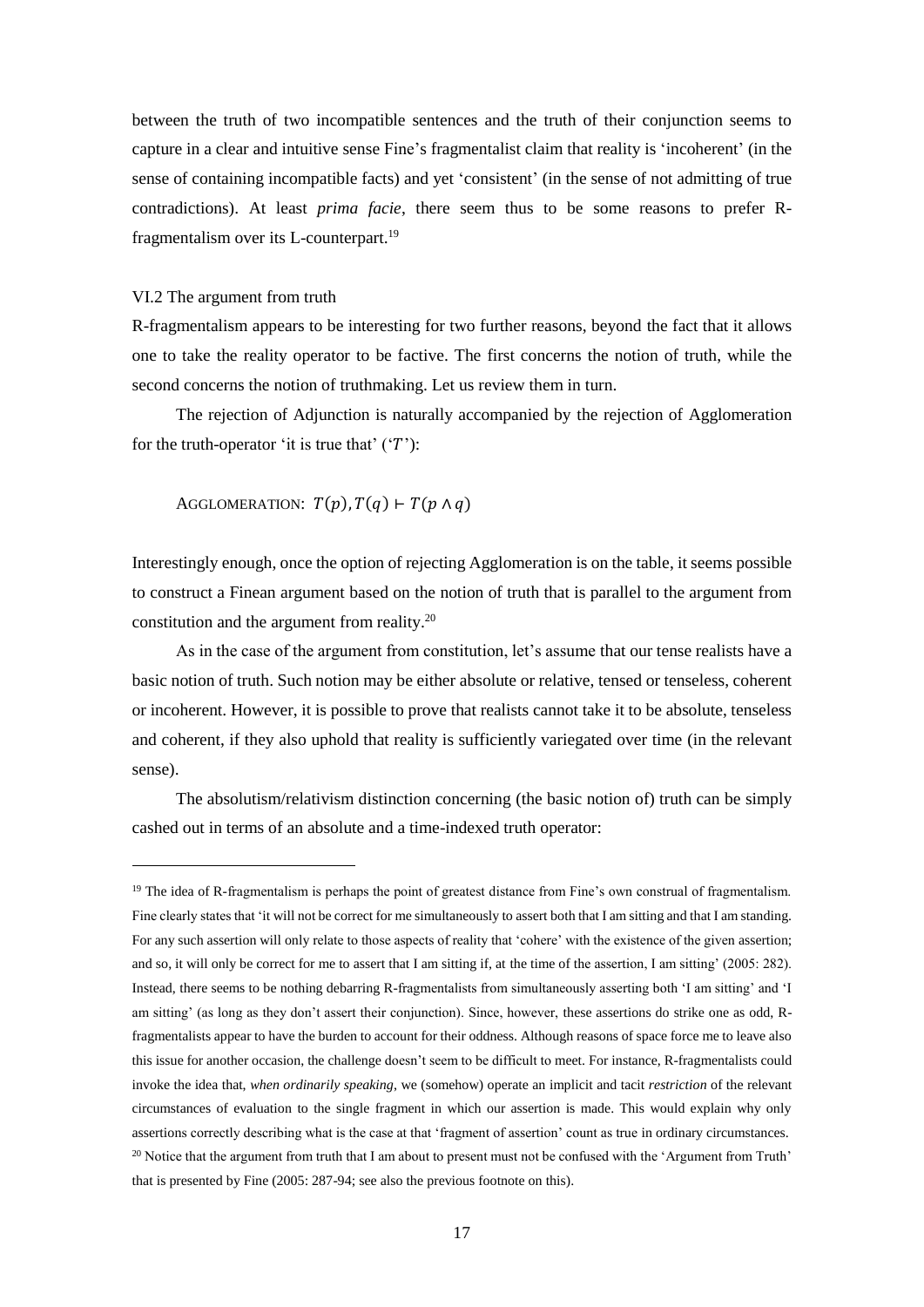between the truth of two incompatible sentences and the truth of their conjunction seems to capture in a clear and intuitive sense Fine's fragmentalist claim that reality is 'incoherent' (in the sense of containing incompatible facts) and yet 'consistent' (in the sense of not admitting of true contradictions). At least *prima facie*, there seem thus to be some reasons to prefer Rfragmentalism over its L-counterpart.<sup>19</sup>

### VI.2 The argument from truth

-

R-fragmentalism appears to be interesting for two further reasons, beyond the fact that it allows one to take the reality operator to be factive. The first concerns the notion of truth, while the second concerns the notion of truthmaking. Let us review them in turn.

The rejection of Adjunction is naturally accompanied by the rejection of Agglomeration for the truth-operator 'it is true that'  $('T')$ :

AGGLOMERATION:  $T(p)$ ,  $T(q)$   $\vdash$   $T(p \land q)$ 

Interestingly enough, once the option of rejecting Agglomeration is on the table, it seems possible to construct a Finean argument based on the notion of truth that is parallel to the argument from constitution and the argument from reality.<sup>20</sup>

As in the case of the argument from constitution, let's assume that our tense realists have a basic notion of truth. Such notion may be either absolute or relative, tensed or tenseless, coherent or incoherent. However, it is possible to prove that realists cannot take it to be absolute, tenseless and coherent, if they also uphold that reality is sufficiently variegated over time (in the relevant sense).

The absolutism/relativism distinction concerning (the basic notion of) truth can be simply cashed out in terms of an absolute and a time-indexed truth operator:

<sup>&</sup>lt;sup>19</sup> The idea of R-fragmentalism is perhaps the point of greatest distance from Fine's own construal of fragmentalism. Fine clearly states that 'it will not be correct for me simultaneously to assert both that I am sitting and that I am standing. For any such assertion will only relate to those aspects of reality that 'cohere' with the existence of the given assertion; and so, it will only be correct for me to assert that I am sitting if, at the time of the assertion, I am sitting' (2005: 282). Instead, there seems to be nothing debarring R-fragmentalists from simultaneously asserting both 'I am sitting' and 'I am sitting' (as long as they don't assert their conjunction). Since, however, these assertions do strike one as odd, Rfragmentalists appear to have the burden to account for their oddness. Although reasons of space force me to leave also this issue for another occasion, the challenge doesn't seem to be difficult to meet. For instance, R-fragmentalists could invoke the idea that, *when ordinarily speaking*, we (somehow) operate an implicit and tacit *restriction* of the relevant circumstances of evaluation to the single fragment in which our assertion is made. This would explain why only assertions correctly describing what is the case at that 'fragment of assertion' count as true in ordinary circumstances.  $20$  Notice that the argument from truth that I am about to present must not be confused with the 'Argument from Truth' that is presented by Fine (2005: 287-94; see also the previous footnote on this).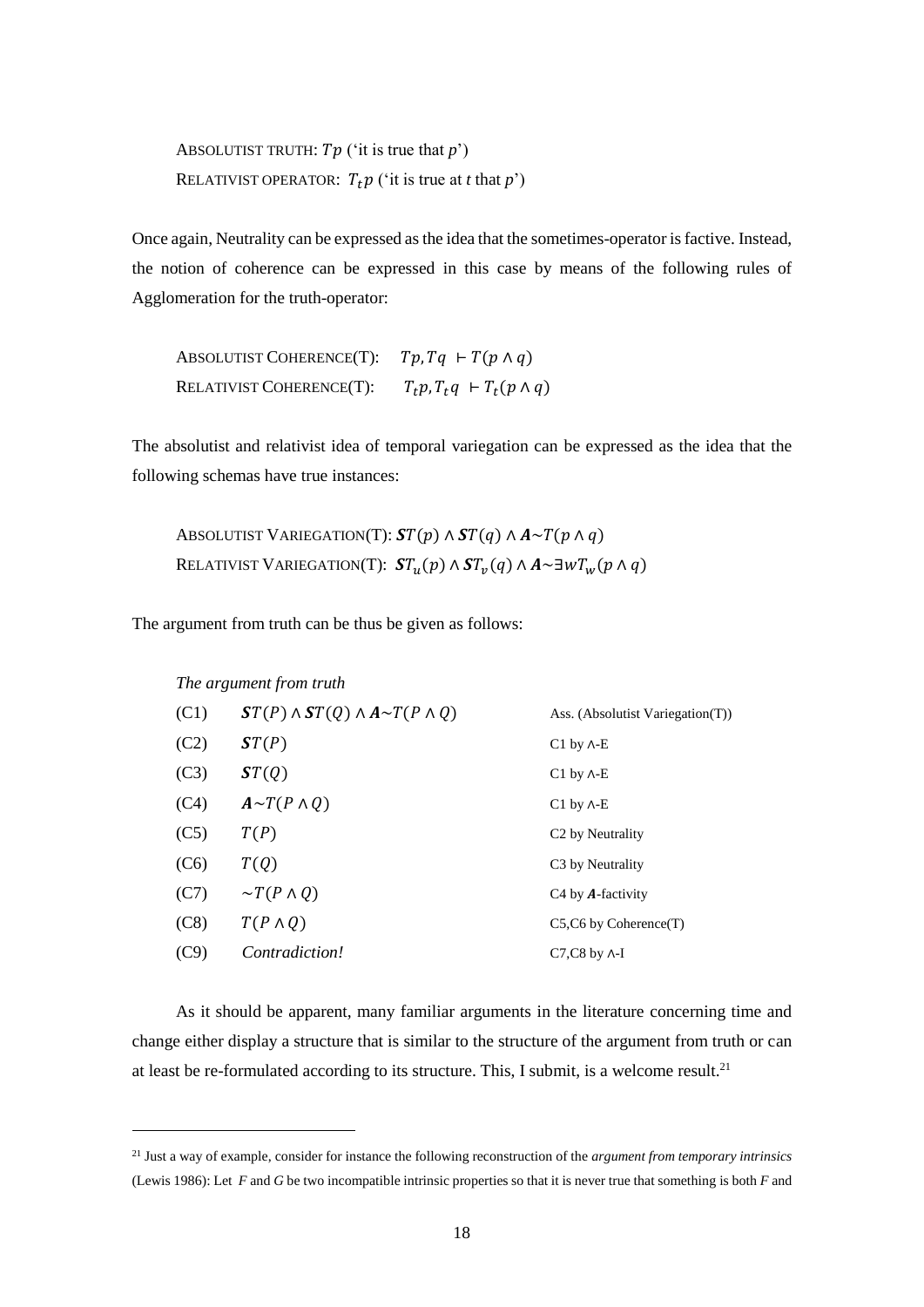ABSOLUTIST TRUTH:  $Tp$  ('it is true that  $p$ ') RELATIVIST OPERATOR:  $T_t p$  ('it is true at *t* that *p*')

Once again, Neutrality can be expressed as the idea that the sometimes-operator is factive. Instead, the notion of coherence can be expressed in this case by means of the following rules of Agglomeration for the truth-operator:

ABSOLUTIST COHERENCE(T):  $Tp, Tq \vdash T(p \land q)$ RELATIVIST COHERENCE(T):  $T_t p, T_t q \vdash T_t (p \wedge q)$ 

The absolutist and relativist idea of temporal variegation can be expressed as the idea that the following schemas have true instances:

ABSOLUTIST VARIEGATION(T):  $ST(p) \wedge ST(q) \wedge A \sim T(p \wedge q)$ RELATIVIST VARIEGATION(T):  $\mathbf{\mathit{ST}}_u(p) \wedge \mathbf{\mathit{ST}}_v(q) \wedge A \sim \exists w T_w(p \wedge q)$ 

The argument from truth can be thus be given as follows:

1

|      | The argument from truth                          |                                  |
|------|--------------------------------------------------|----------------------------------|
| (C1) | $ST(P) \wedge ST(Q) \wedge A \sim T(P \wedge Q)$ | Ass. (Absolutist Variegation(T)) |
| (C2) | ST(P)                                            | $C1$ by $\Lambda$ -E             |
| (C3) | ST(Q)                                            | $C1$ by $\Lambda$ -E             |
| (C4) | $A \sim T(P \wedge Q)$                           | $C1$ by $\Lambda$ -E             |
| (C5) | T(P)                                             | C <sub>2</sub> by Neutrality     |
| (C6) | T(Q)                                             | C <sub>3</sub> by Neutrality     |
| (C7) | $\sim T(P \wedge Q)$                             | C <sub>4</sub> by $A$ -factivity |
| (C8) | $T(P \wedge Q)$                                  | $C5$ , $C6$ by Coherence $(T)$   |
| (C9) | <i>Contradiction!</i>                            | $C7$ , $C8$ by $\Lambda$ -I      |

As it should be apparent, many familiar arguments in the literature concerning time and change either display a structure that is similar to the structure of the argument from truth or can at least be re-formulated according to its structure. This, I submit, is a welcome result.<sup>21</sup>

<sup>21</sup> Just a way of example, consider for instance the following reconstruction of the *argument from temporary intrinsics* (Lewis 1986): Let *F* and *G* be two incompatible intrinsic properties so that it is never true that something is both *F* and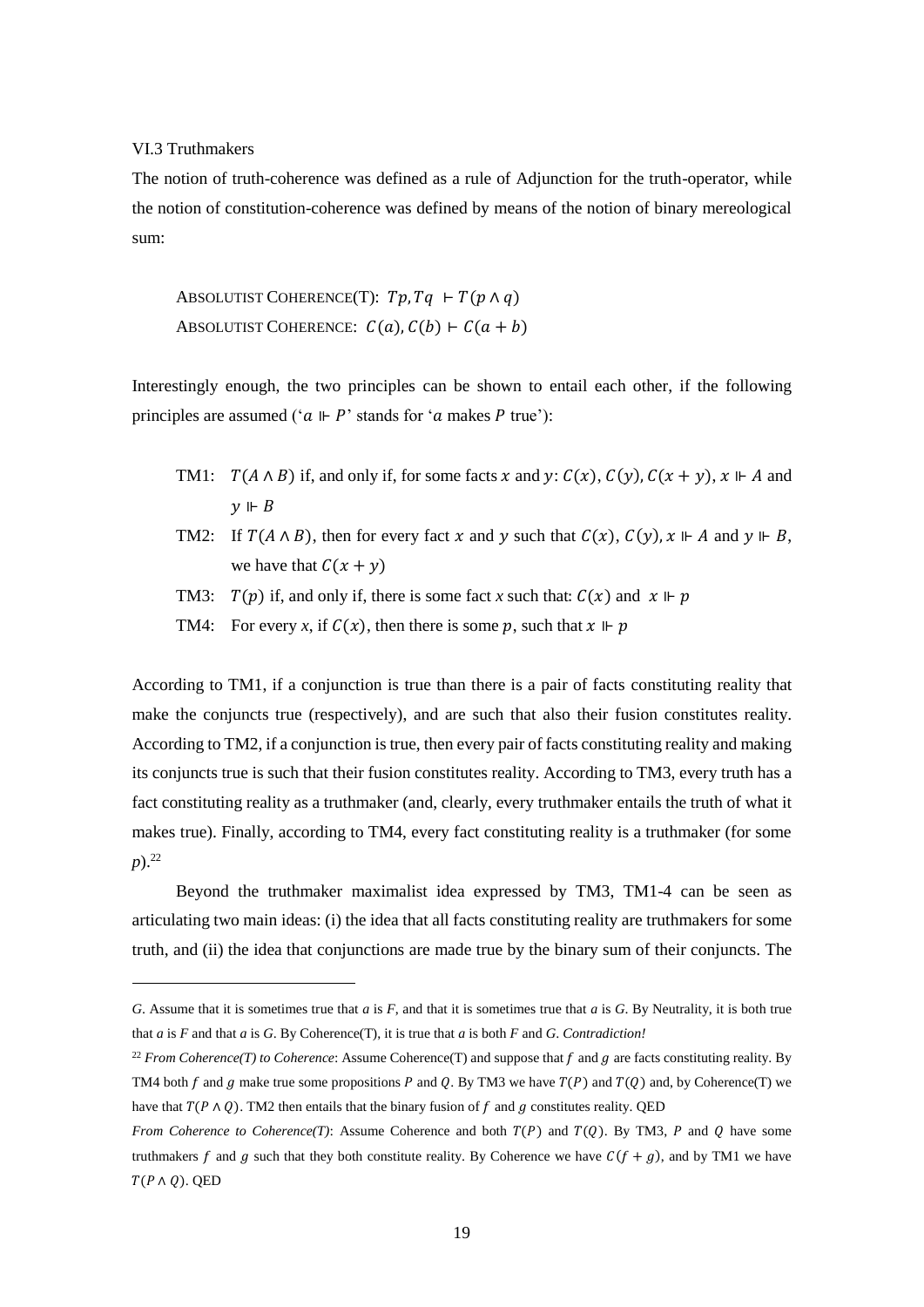### VI.3 Truthmakers

1

The notion of truth-coherence was defined as a rule of Adjunction for the truth-operator, while the notion of constitution-coherence was defined by means of the notion of binary mereological sum:

ABSOLUTIST COHERENCE(T):  $Tp, Tq \vdash T(p \land q)$ ABSOLUTIST COHERENCE:  $C(a)$ ,  $C(b)$  ⊢  $C(a + b)$ 

Interestingly enough, the two principles can be shown to entail each other, if the following principles are assumed (' $a \Vdash P$ ' stands for 'a makes P true'):

- TM1:  $T(A \wedge B)$  if, and only if, for some facts x and y:  $C(x)$ ,  $C(y)$ ,  $C(x + y)$ ,  $x \Vdash A$  and  $\nu \Vdash B$
- TM2: If  $T(A \wedge B)$ , then for every fact x and y such that  $C(x)$ ,  $C(y)$ ,  $x \Vdash A$  and  $y \Vdash B$ , we have that  $C(x + y)$
- TM3:  $T(p)$  if, and only if, there is some fact *x* such that:  $C(x)$  and  $x \Vdash p$
- TM4: For every *x*, if  $C(x)$ , then there is some p, such that  $x \Vdash p$

According to TM1, if a conjunction is true than there is a pair of facts constituting reality that make the conjuncts true (respectively), and are such that also their fusion constitutes reality. According to TM2, if a conjunction is true, then every pair of facts constituting reality and making its conjuncts true is such that their fusion constitutes reality. According to TM3, every truth has a fact constituting reality as a truthmaker (and, clearly, every truthmaker entails the truth of what it makes true). Finally, according to TM4, every fact constituting reality is a truthmaker (for some *p*).<sup>22</sup>

Beyond the truthmaker maximalist idea expressed by TM3, TM1-4 can be seen as articulating two main ideas: (i) the idea that all facts constituting reality are truthmakers for some truth, and (ii) the idea that conjunctions are made true by the binary sum of their conjuncts. The

*G*. Assume that it is sometimes true that *a* is *F*, and that it is sometimes true that *a* is *G*. By Neutrality, it is both true that *a* is *F* and that *a* is *G*. By Coherence(T), it is true that *a* is both *F* and *G*. *Contradiction!*

<sup>&</sup>lt;sup>22</sup> *From Coherence(T) to Coherence*: Assume Coherence(T) and suppose that  $f$  and  $g$  are facts constituting reality. By TM4 both  $f$  and  $g$  make true some propositions  $P$  and  $Q$ . By TM3 we have  $T(P)$  and  $T(Q)$  and, by Coherence(T) we have that  $T(P \wedge Q)$ . TM2 then entails that the binary fusion of f and g constitutes reality. QED

*From Coherence to Coherence(T)*: Assume Coherence and both  $T(P)$  and  $T(0)$ . By TM3, P and O have some truthmakers f and g such that they both constitute reality. By Coherence we have  $C(f + g)$ , and by TM1 we have  $T(P \wedge Q)$ . QED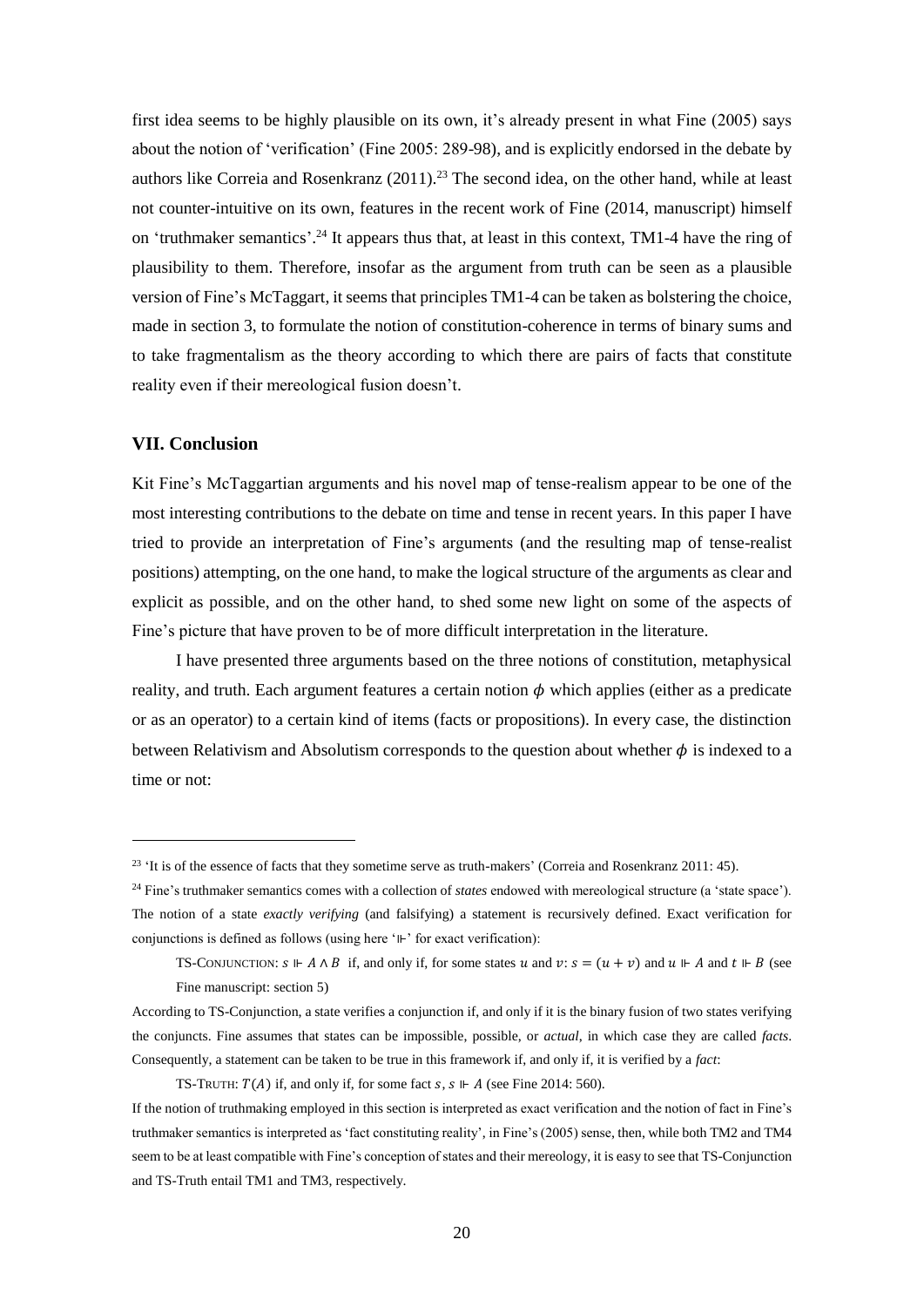first idea seems to be highly plausible on its own, it's already present in what Fine (2005) says about the notion of 'verification' (Fine 2005: 289-98), and is explicitly endorsed in the debate by authors like Correia and Rosenkranz (2011).<sup>23</sup> The second idea, on the other hand, while at least not counter-intuitive on its own, features in the recent work of Fine (2014, manuscript) himself on 'truthmaker semantics'.<sup>24</sup> It appears thus that, at least in this context, TM1-4 have the ring of plausibility to them. Therefore, insofar as the argument from truth can be seen as a plausible version of Fine's McTaggart, it seems that principles TM1-4 can be taken as bolstering the choice, made in section 3, to formulate the notion of constitution-coherence in terms of binary sums and to take fragmentalism as the theory according to which there are pairs of facts that constitute reality even if their mereological fusion doesn't.

# **VII. Conclusion**

1

Kit Fine's McTaggartian arguments and his novel map of tense-realism appear to be one of the most interesting contributions to the debate on time and tense in recent years. In this paper I have tried to provide an interpretation of Fine's arguments (and the resulting map of tense-realist positions) attempting, on the one hand, to make the logical structure of the arguments as clear and explicit as possible, and on the other hand, to shed some new light on some of the aspects of Fine's picture that have proven to be of more difficult interpretation in the literature.

I have presented three arguments based on the three notions of constitution, metaphysical reality, and truth. Each argument features a certain notion  $\phi$  which applies (either as a predicate or as an operator) to a certain kind of items (facts or propositions). In every case, the distinction between Relativism and Absolutism corresponds to the question about whether  $\phi$  is indexed to a time or not:

<sup>&</sup>lt;sup>23</sup> 'It is of the essence of facts that they sometime serve as truth-makers' (Correia and Rosenkranz 2011: 45).

<sup>&</sup>lt;sup>24</sup> Fine's truthmaker semantics comes with a collection of *states* endowed with mereological structure (a 'state space'). The notion of a state *exactly verifying* (and falsifying) a statement is recursively defined. Exact verification for conjunctions is defined as follows (using here '⊩' for exact verification):

TS-CONJUNCTION:  $s \Vdash A \wedge B$  if, and only if, for some states u and  $v : s = (u + v)$  and  $u \Vdash A$  and  $t \Vdash B$  (see Fine manuscript: section 5)

According to TS-Conjunction, a state verifies a conjunction if, and only if it is the binary fusion of two states verifying the conjuncts. Fine assumes that states can be impossible, possible, or *actual*, in which case they are called *facts*. Consequently, a statement can be taken to be true in this framework if, and only if, it is verified by a *fact*:

TS-TRUTH:  $T(A)$  if, and only if, for some fact  $s, s \Vdash A$  (see Fine 2014: 560).

If the notion of truthmaking employed in this section is interpreted as exact verification and the notion of fact in Fine's truthmaker semantics is interpreted as 'fact constituting reality', in Fine's (2005) sense, then, while both TM2 and TM4 seem to be at least compatible with Fine's conception of states and their mereology, it is easy to see that TS-Conjunction and TS-Truth entail TM1 and TM3, respectively.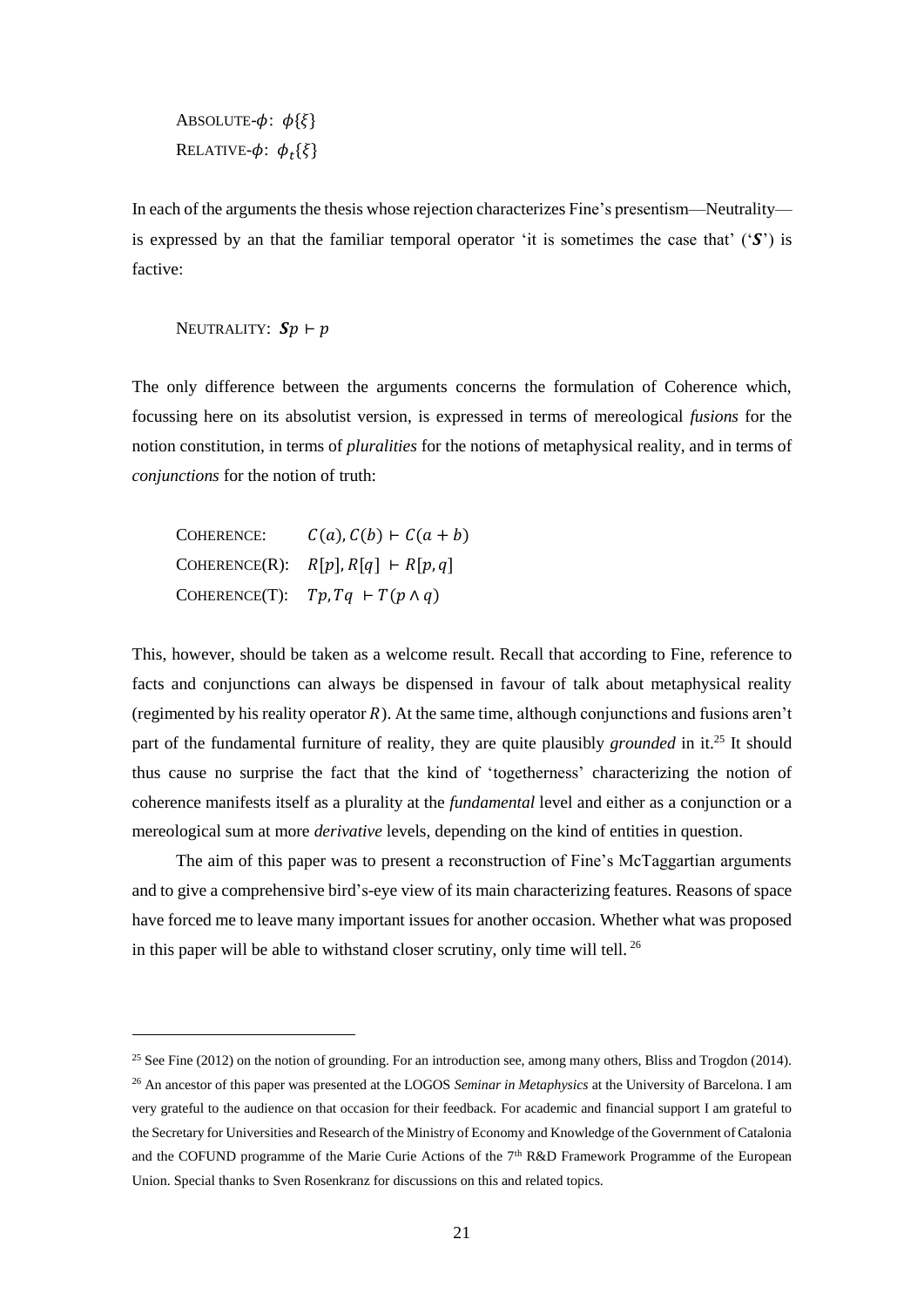ABSOLUTE- $\phi$ :  $\phi$ { $\{\}$ } Relative- $\phi$ :  $\phi_t$ { $\xi$ }

In each of the arguments the thesis whose rejection characterizes Fine's presentism—Neutrality is expressed by an that the familiar temporal operator 'it is sometimes the case that'  $(\mathcal{S})$  is factive:

NEUTRALITY:  $\mathbf{Sp} \vdash p$ 

-

The only difference between the arguments concerns the formulation of Coherence which, focussing here on its absolutist version, is expressed in terms of mereological *fusions* for the notion constitution, in terms of *pluralities* for the notions of metaphysical reality, and in terms of *conjunctions* for the notion of truth:

COHERENCE:  $C(a)$ ,  $C(b) \vdash C(a + b)$ COHERENCE(R):  $R[p], R[q] \vdash R[p, q]$ COHERENCE(T):  $Tp, Tq \vdash T(p \land q)$ 

This, however, should be taken as a welcome result. Recall that according to Fine, reference to facts and conjunctions can always be dispensed in favour of talk about metaphysical reality (regimented by his reality operator  $R$ ). At the same time, although conjunctions and fusions aren't part of the fundamental furniture of reality, they are quite plausibly *grounded* in it. <sup>25</sup> It should thus cause no surprise the fact that the kind of 'togetherness' characterizing the notion of coherence manifests itself as a plurality at the *fundamental* level and either as a conjunction or a mereological sum at more *derivative* levels, depending on the kind of entities in question.

The aim of this paper was to present a reconstruction of Fine's McTaggartian arguments and to give a comprehensive bird's-eye view of its main characterizing features. Reasons of space have forced me to leave many important issues for another occasion. Whether what was proposed in this paper will be able to withstand closer scrutiny, only time will tell. <sup>26</sup>

<sup>&</sup>lt;sup>25</sup> See Fine (2012) on the notion of grounding. For an introduction see, among many others, Bliss and Trogdon (2014). <sup>26</sup> An ancestor of this paper was presented at the LOGOS *Seminar in Metaphysics* at the University of Barcelona. I am very grateful to the audience on that occasion for their feedback. For academic and financial support I am grateful to the Secretary for Universities and Research of the Ministry of Economy and Knowledge of the Government of Catalonia and the COFUND programme of the Marie Curie Actions of the  $7<sup>th</sup> R&D$  Framework Programme of the European Union. Special thanks to Sven Rosenkranz for discussions on this and related topics.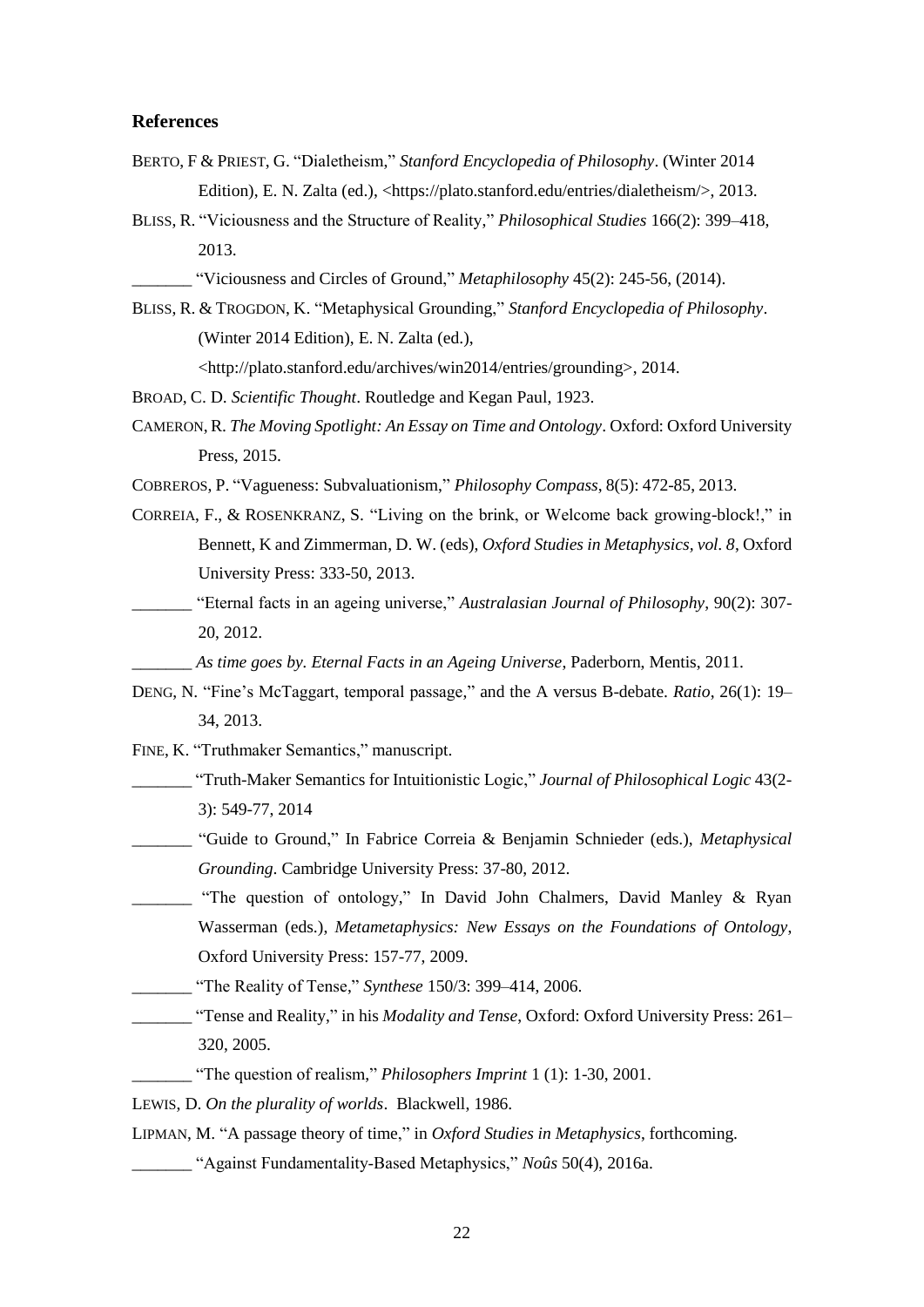# **References**

- BERTO, F & PRIEST, G. "Dialetheism," *Stanford Encyclopedia of Philosophy*. (Winter 2014 Edition), E. N. Zalta (ed.), <https://plato.stanford.edu/entries/dialetheism/>, 2013.
- BLISS, R. "Viciousness and the Structure of Reality," *Philosophical Studies* 166(2): 399–418, 2013.

\_\_\_\_\_\_\_ "Viciousness and Circles of Ground," *Metaphilosophy* 45(2): 245-56, (2014).

BLISS, R. & TROGDON, K. "Metaphysical Grounding," *Stanford Encyclopedia of Philosophy*. (Winter 2014 Edition), E. N. Zalta (ed.),

<http://plato.stanford.edu/archives/win2014/entries/grounding>, 2014.

- BROAD, C. D. *Scientific Thought*. Routledge and Kegan Paul, 1923.
- CAMERON,R. *The Moving Spotlight: An Essay on Time and Ontology*. Oxford: Oxford University Press, 2015.
- COBREROS, P. "Vagueness: Subvaluationism," *Philosophy Compass*, 8(5): 472-85, 2013.
- CORREIA, F., & ROSENKRANZ, S. "Living on the brink, or Welcome back growing-block!," in Bennett, K and Zimmerman, D. W. (eds), *Oxford Studies in Metaphysics, vol. 8*, Oxford University Press: 333-50, 2013.
- \_\_\_\_\_\_\_ "Eternal facts in an ageing universe," *Australasian Journal of Philosophy*, 90(2): 307- 20, 2012.

\_\_\_\_\_\_\_ *As time goes by. Eternal Facts in an Ageing Universe*, Paderborn, Mentis, 2011.

- DENG, N. "Fine's McTaggart, temporal passage," and the A versus B-debate. *Ratio*, 26(1): 19– 34, 2013.
- FINE, K. "Truthmaker Semantics," manuscript.
	- \_\_\_\_\_\_\_ "Truth-Maker Semantics for Intuitionistic Logic," *Journal of Philosophical Logic* 43(2- 3): 549-77, 2014
	- \_\_\_\_\_\_\_ "Guide to Ground," In Fabrice Correia & Benjamin Schnieder (eds.), *Metaphysical Grounding*. Cambridge University Press: 37-80, 2012.
- "The question of ontology," In David John Chalmers, David Manley & Ryan Wasserman (eds.), *Metametaphysics: New Essays on the Foundations of Ontology*, Oxford University Press: 157-77, 2009.
- \_\_\_\_\_\_\_ "The Reality of Tense," *Synthese* 150/3: 399–414, 2006.
- \_\_\_\_\_\_\_ "Tense and Reality," in his *Modality and Tense*, Oxford: Oxford University Press: 261– 320, 2005.

\_\_\_\_\_\_\_ "The question of realism," *Philosophers Imprint* 1 (1): 1-30, 2001.

LEWIS, D. *On the plurality of worlds*. Blackwell, 1986.

LIPMAN, M. "A passage theory of time," in *Oxford Studies in Metaphysics*, forthcoming.

\_\_\_\_\_\_\_ "Against Fundamentality‐Based Metaphysics," *Noûs* 50(4), 2016a.